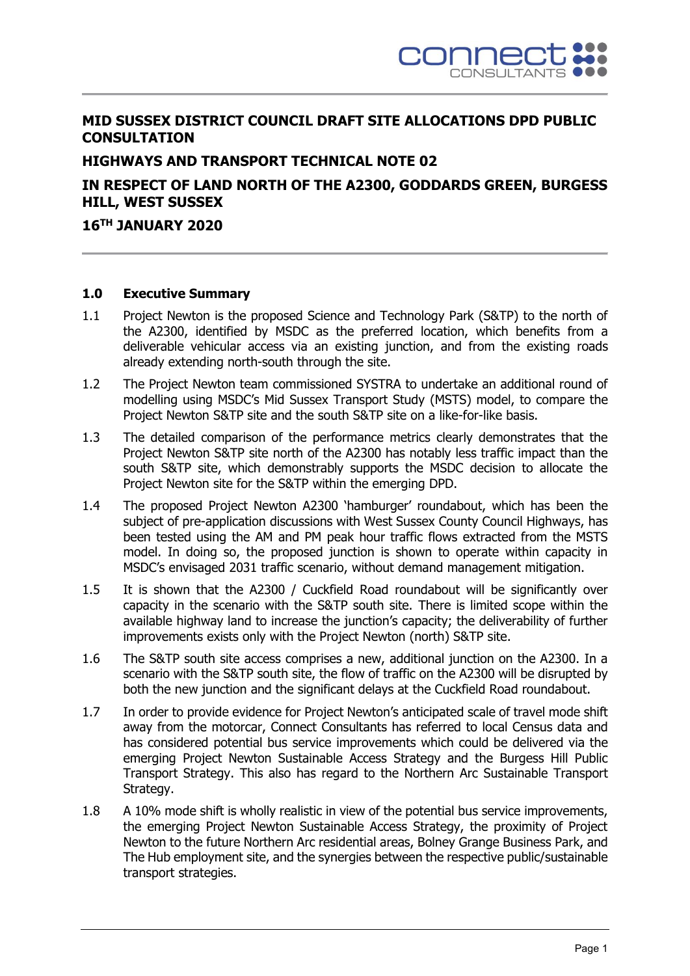

# **MID SUSSEX DISTRICT COUNCIL DRAFT SITE ALLOCATIONS DPD PUBLIC CONSULTATION**

# **HIGHWAYS AND TRANSPORT TECHNICAL NOTE 02**

# **IN RESPECT OF LAND NORTH OF THE A2300, GODDARDS GREEN, BURGESS HILL, WEST SUSSEX**

#### **16 TH JANUARY 2020**

#### **1.0 Executive Summary**

- 1.1 Project Newton is the proposed Science and Technology Park (S&TP) to the north of the A2300, identified by MSDC as the preferred location, which benefits from a deliverable vehicular access via an existing junction, and from the existing roads already extending north-south through the site.
- 1.2 The Project Newton team commissioned SYSTRA to undertake an additional round of modelling using MSDC's Mid Sussex Transport Study (MSTS) model, to compare the Project Newton S&TP site and the south S&TP site on a like-for-like basis.
- 1.3 The detailed comparison of the performance metrics clearly demonstrates that the Project Newton S&TP site north of the A2300 has notably less traffic impact than the south S&TP site, which demonstrably supports the MSDC decision to allocate the Project Newton site for the S&TP within the emerging DPD.
- 1.4 The proposed Project Newton A2300 'hamburger' roundabout, which has been the subject of pre-application discussions with West Sussex County Council Highways, has been tested using the AM and PM peak hour traffic flows extracted from the MSTS model. In doing so, the proposed junction is shown to operate within capacity in MSDC's envisaged 2031 traffic scenario, without demand management mitigation.
- 1.5 It is shown that the A2300 / Cuckfield Road roundabout will be significantly over capacity in the scenario with the S&TP south site. There is limited scope within the available highway land to increase the junction's capacity; the deliverability of further improvements exists only with the Project Newton (north) S&TP site.
- 1.6 The S&TP south site access comprises a new, additional junction on the A2300. In a scenario with the S&TP south site, the flow of traffic on the A2300 will be disrupted by both the new junction and the significant delays at the Cuckfield Road roundabout.
- 1.7 In order to provide evidence for Project Newton's anticipated scale of travel mode shift away from the motorcar, Connect Consultants has referred to local Census data and has considered potential bus service improvements which could be delivered via the emerging Project Newton Sustainable Access Strategy and the Burgess Hill Public Transport Strategy. This also has regard to the Northern Arc Sustainable Transport Strategy.
- 1.8 A 10% mode shift is wholly realistic in view of the potential bus service improvements, the emerging Project Newton Sustainable Access Strategy, the proximity of Project Newton to the future Northern Arc residential areas, Bolney Grange Business Park, and The Hub employment site, and the synergies between the respective public/sustainable transport strategies.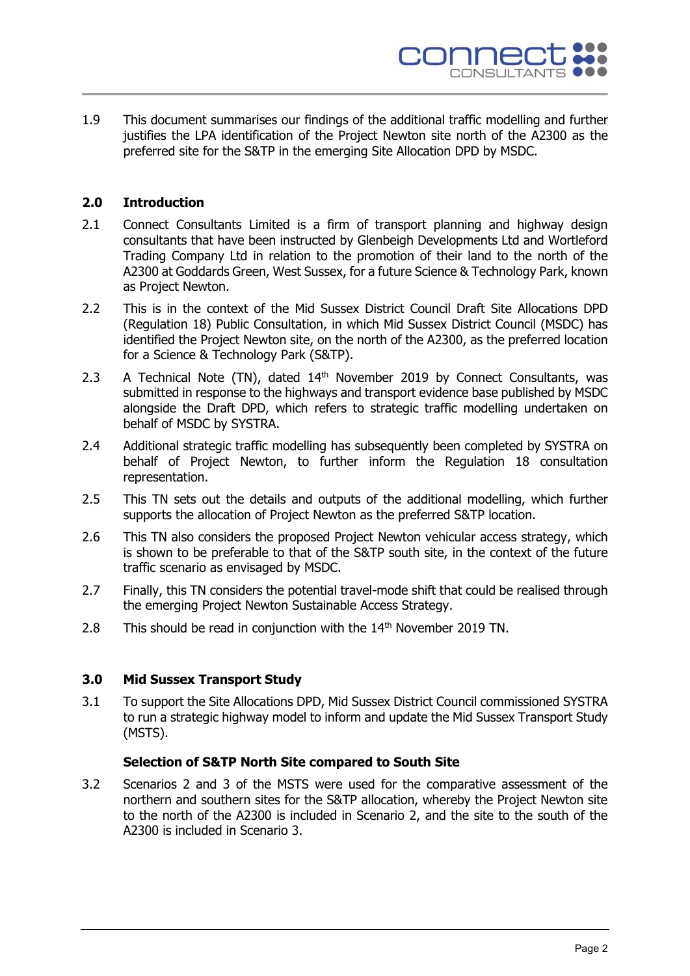

1.9 This document summarises our findings of the additional traffic modelling and further justifies the LPA identification of the Project Newton site north of the A2300 as the preferred site for the S&TP in the emerging Site Allocation DPD by MSDC.

#### **2.0 Introduction**

- 2.1 Connect Consultants Limited is a firm of transport planning and highway design consultants that have been instructed by Glenbeigh Developments Ltd and Wortleford Trading Company Ltd in relation to the promotion of their land to the north of the A2300 at Goddards Green, West Sussex, for a future Science & Technology Park, known as Project Newton.
- 2.2 This is in the context of the Mid Sussex District Council Draft Site Allocations DPD (Regulation 18) Public Consultation, in which Mid Sussex District Council (MSDC) has identified the Project Newton site, on the north of the A2300, as the preferred location for a Science & Technology Park (S&TP).
- 2.3 A Technical Note (TN), dated 14<sup>th</sup> November 2019 by Connect Consultants, was submitted in response to the highways and transport evidence base published by MSDC alongside the Draft DPD, which refers to strategic traffic modelling undertaken on behalf of MSDC by SYSTRA.
- 2.4 Additional strategic traffic modelling has subsequently been completed by SYSTRA on behalf of Project Newton, to further inform the Regulation 18 consultation representation.
- 2.5 This TN sets out the details and outputs of the additional modelling, which further supports the allocation of Project Newton as the preferred S&TP location.
- 2.6 This TN also considers the proposed Project Newton vehicular access strategy, which is shown to be preferable to that of the S&TP south site, in the context of the future traffic scenario as envisaged by MSDC.
- 2.7 Finally, this TN considers the potential travel-mode shift that could be realised through the emerging Project Newton Sustainable Access Strategy.
- 2.8 This should be read in conjunction with the  $14<sup>th</sup>$  November 2019 TN.

#### **3.0 Mid Sussex Transport Study**

3.1 To support the Site Allocations DPD, Mid Sussex District Council commissioned SYSTRA to run a strategic highway model to inform and update the Mid Sussex Transport Study (MSTS).

#### **Selection of S&TP North Site compared to South Site**

3.2 Scenarios 2 and 3 of the MSTS were used for the comparative assessment of the northern and southern sites for the S&TP allocation, whereby the Project Newton site to the north of the A2300 is included in Scenario 2, and the site to the south of the A2300 is included in Scenario 3.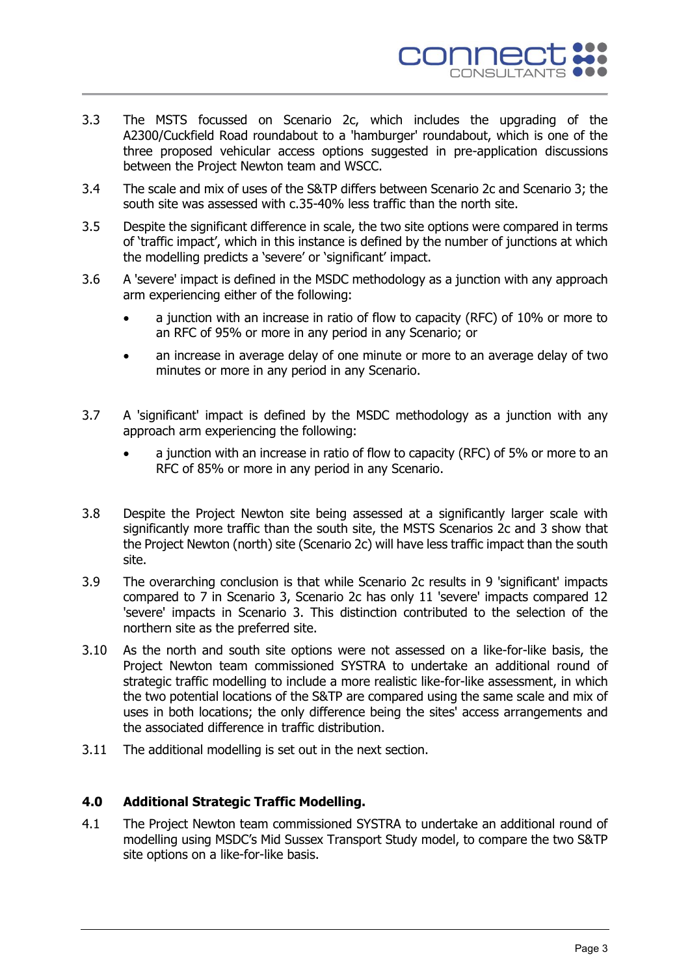

- 3.3 The MSTS focussed on Scenario 2c, which includes the upgrading of the A2300/Cuckfield Road roundabout to a 'hamburger' roundabout, which is one of the three proposed vehicular access options suggested in pre-application discussions between the Project Newton team and WSCC.
- 3.4 The scale and mix of uses of the S&TP differs between Scenario 2c and Scenario 3; the south site was assessed with c.35-40% less traffic than the north site.
- 3.5 Despite the significant difference in scale, the two site options were compared in terms of 'traffic impact', which in this instance is defined by the number of junctions at which the modelling predicts a 'severe' or 'significant' impact.
- 3.6 A 'severe' impact is defined in the MSDC methodology as a junction with any approach arm experiencing either of the following:
	- a junction with an increase in ratio of flow to capacity (RFC) of 10% or more to an RFC of 95% or more in any period in any Scenario; or
	- an increase in average delay of one minute or more to an average delay of two minutes or more in any period in any Scenario.
- 3.7 A 'significant' impact is defined by the MSDC methodology as a junction with any approach arm experiencing the following:
	- a junction with an increase in ratio of flow to capacity (RFC) of 5% or more to an RFC of 85% or more in any period in any Scenario.
- 3.8 Despite the Project Newton site being assessed at a significantly larger scale with significantly more traffic than the south site, the MSTS Scenarios 2c and 3 show that the Project Newton (north) site (Scenario 2c) will have less traffic impact than the south site.
- 3.9 The overarching conclusion is that while Scenario 2c results in 9 'significant' impacts compared to 7 in Scenario 3, Scenario 2c has only 11 'severe' impacts compared 12 'severe' impacts in Scenario 3. This distinction contributed to the selection of the northern site as the preferred site.
- 3.10 As the north and south site options were not assessed on a like-for-like basis, the Project Newton team commissioned SYSTRA to undertake an additional round of strategic traffic modelling to include a more realistic like-for-like assessment, in which the two potential locations of the S&TP are compared using the same scale and mix of uses in both locations; the only difference being the sites' access arrangements and the associated difference in traffic distribution.
- 3.11 The additional modelling is set out in the next section.

## **4.0 Additional Strategic Traffic Modelling.**

4.1 The Project Newton team commissioned SYSTRA to undertake an additional round of modelling using MSDC's Mid Sussex Transport Study model, to compare the two S&TP site options on a like-for-like basis.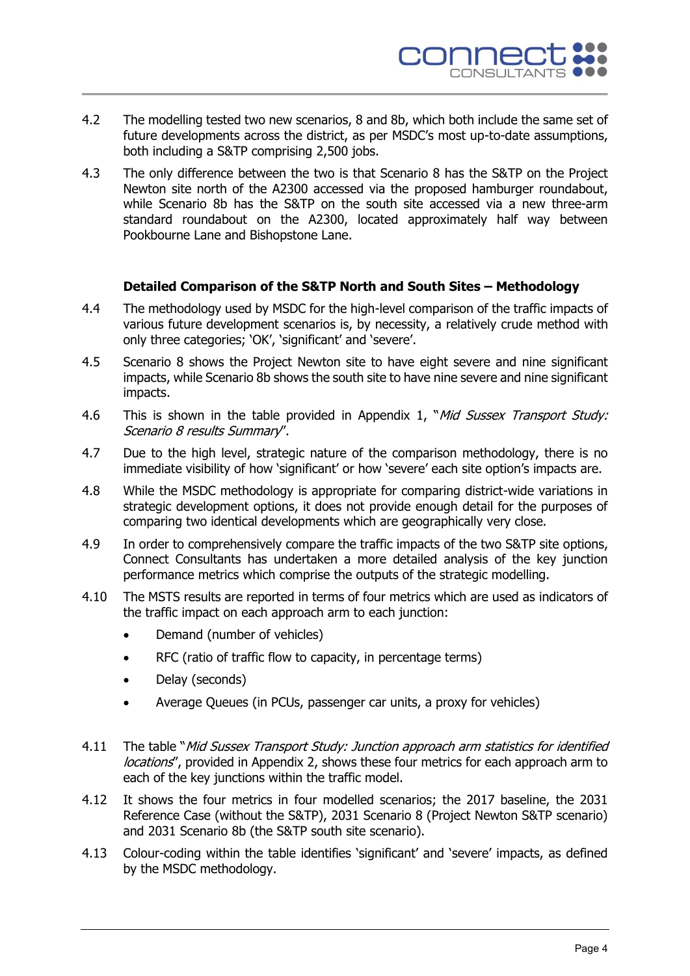

- 4.2 The modelling tested two new scenarios, 8 and 8b, which both include the same set of future developments across the district, as per MSDC's most up-to-date assumptions, both including a S&TP comprising 2,500 jobs.
- 4.3 The only difference between the two is that Scenario 8 has the S&TP on the Project Newton site north of the A2300 accessed via the proposed hamburger roundabout, while Scenario 8b has the S&TP on the south site accessed via a new three-arm standard roundabout on the A2300, located approximately half way between Pookbourne Lane and Bishopstone Lane.

#### **Detailed Comparison of the S&TP North and South Sites – Methodology**

- 4.4 The methodology used by MSDC for the high-level comparison of the traffic impacts of various future development scenarios is, by necessity, a relatively crude method with only three categories; 'OK', 'significant' and 'severe'.
- 4.5 Scenario 8 shows the Project Newton site to have eight severe and nine significant impacts, while Scenario 8b shows the south site to have nine severe and nine significant impacts.
- 4.6 This is shown in the table provided in Appendix 1, "*Mid Sussex Transport Study:* Scenario 8 results Summary".
- 4.7 Due to the high level, strategic nature of the comparison methodology, there is no immediate visibility of how 'significant' or how 'severe' each site option's impacts are.
- 4.8 While the MSDC methodology is appropriate for comparing district-wide variations in strategic development options, it does not provide enough detail for the purposes of comparing two identical developments which are geographically very close.
- 4.9 In order to comprehensively compare the traffic impacts of the two S&TP site options, Connect Consultants has undertaken a more detailed analysis of the key junction performance metrics which comprise the outputs of the strategic modelling.
- 4.10 The MSTS results are reported in terms of four metrics which are used as indicators of the traffic impact on each approach arm to each junction:
	- Demand (number of vehicles)
	- RFC (ratio of traffic flow to capacity, in percentage terms)
	- Delay (seconds)
	- Average Queues (in PCUs, passenger car units, a proxy for vehicles)
- 4.11 The table "Mid Sussex Transport Study: Junction approach arm statistics for identified locations", provided in Appendix 2, shows these four metrics for each approach arm to each of the key junctions within the traffic model.
- 4.12 It shows the four metrics in four modelled scenarios; the 2017 baseline, the 2031 Reference Case (without the S&TP), 2031 Scenario 8 (Project Newton S&TP scenario) and 2031 Scenario 8b (the S&TP south site scenario).
- 4.13 Colour-coding within the table identifies 'significant' and 'severe' impacts, as defined by the MSDC methodology.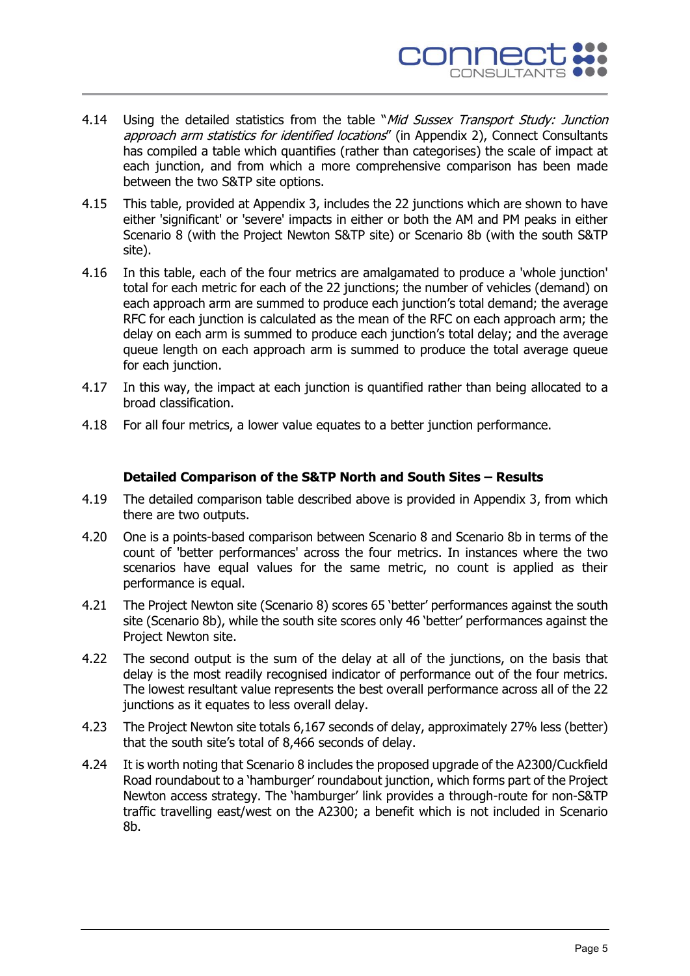

- 4.14 Using the detailed statistics from the table "Mid Sussex Transport Study: Junction approach arm statistics for identified locations" (in Appendix 2), Connect Consultants has compiled a table which quantifies (rather than categorises) the scale of impact at each junction, and from which a more comprehensive comparison has been made between the two S&TP site options.
- 4.15 This table, provided at Appendix 3, includes the 22 junctions which are shown to have either 'significant' or 'severe' impacts in either or both the AM and PM peaks in either Scenario 8 (with the Project Newton S&TP site) or Scenario 8b (with the south S&TP site).
- 4.16 In this table, each of the four metrics are amalgamated to produce a 'whole junction' total for each metric for each of the 22 junctions; the number of vehicles (demand) on each approach arm are summed to produce each junction's total demand; the average RFC for each junction is calculated as the mean of the RFC on each approach arm; the delay on each arm is summed to produce each junction's total delay; and the average queue length on each approach arm is summed to produce the total average queue for each junction.
- 4.17 In this way, the impact at each junction is quantified rather than being allocated to a broad classification.
- 4.18 For all four metrics, a lower value equates to a better junction performance.

## **Detailed Comparison of the S&TP North and South Sites – Results**

- 4.19 The detailed comparison table described above is provided in Appendix 3, from which there are two outputs.
- 4.20 One is a points-based comparison between Scenario 8 and Scenario 8b in terms of the count of 'better performances' across the four metrics. In instances where the two scenarios have equal values for the same metric, no count is applied as their performance is equal.
- 4.21 The Project Newton site (Scenario 8) scores 65 'better' performances against the south site (Scenario 8b), while the south site scores only 46 'better' performances against the Project Newton site.
- 4.22 The second output is the sum of the delay at all of the junctions, on the basis that delay is the most readily recognised indicator of performance out of the four metrics. The lowest resultant value represents the best overall performance across all of the 22 junctions as it equates to less overall delay.
- 4.23 The Project Newton site totals 6,167 seconds of delay, approximately 27% less (better) that the south site's total of 8,466 seconds of delay.
- 4.24 It is worth noting that Scenario 8 includes the proposed upgrade of the A2300/Cuckfield Road roundabout to a 'hamburger' roundabout junction, which forms part of the Project Newton access strategy. The 'hamburger' link provides a through-route for non-S&TP traffic travelling east/west on the A2300; a benefit which is not included in Scenario 8b.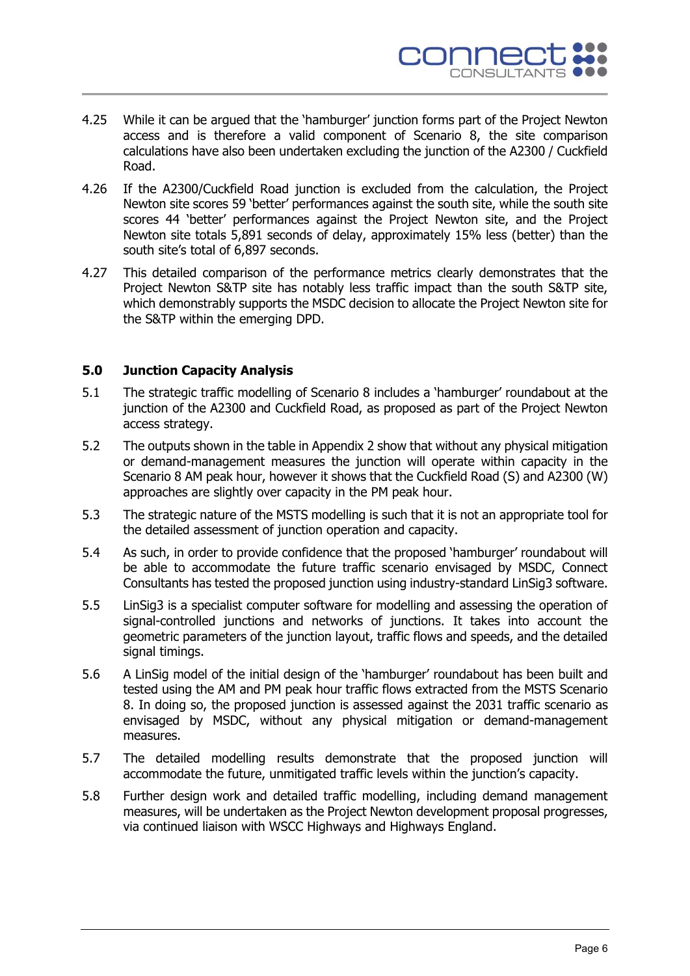

- 4.25 While it can be argued that the 'hamburger' junction forms part of the Project Newton access and is therefore a valid component of Scenario 8, the site comparison calculations have also been undertaken excluding the junction of the A2300 / Cuckfield Road.
- 4.26 If the A2300/Cuckfield Road junction is excluded from the calculation, the Project Newton site scores 59 'better' performances against the south site, while the south site scores 44 'better' performances against the Project Newton site, and the Project Newton site totals 5,891 seconds of delay, approximately 15% less (better) than the south site's total of 6,897 seconds.
- 4.27 This detailed comparison of the performance metrics clearly demonstrates that the Project Newton S&TP site has notably less traffic impact than the south S&TP site, which demonstrably supports the MSDC decision to allocate the Project Newton site for the S&TP within the emerging DPD.

## **5.0 Junction Capacity Analysis**

- 5.1 The strategic traffic modelling of Scenario 8 includes a 'hamburger' roundabout at the junction of the A2300 and Cuckfield Road, as proposed as part of the Project Newton access strategy.
- 5.2 The outputs shown in the table in Appendix 2 show that without any physical mitigation or demand-management measures the junction will operate within capacity in the Scenario 8 AM peak hour, however it shows that the Cuckfield Road (S) and A2300 (W) approaches are slightly over capacity in the PM peak hour.
- 5.3 The strategic nature of the MSTS modelling is such that it is not an appropriate tool for the detailed assessment of junction operation and capacity.
- 5.4 As such, in order to provide confidence that the proposed 'hamburger' roundabout will be able to accommodate the future traffic scenario envisaged by MSDC, Connect Consultants has tested the proposed junction using industry-standard LinSig3 software.
- 5.5 LinSig3 is a specialist computer software for modelling and assessing the operation of signal-controlled junctions and networks of junctions. It takes into account the geometric parameters of the junction layout, traffic flows and speeds, and the detailed signal timings.
- 5.6 A LinSig model of the initial design of the 'hamburger' roundabout has been built and tested using the AM and PM peak hour traffic flows extracted from the MSTS Scenario 8. In doing so, the proposed junction is assessed against the 2031 traffic scenario as envisaged by MSDC, without any physical mitigation or demand-management measures.
- 5.7 The detailed modelling results demonstrate that the proposed junction will accommodate the future, unmitigated traffic levels within the junction's capacity.
- 5.8 Further design work and detailed traffic modelling, including demand management measures, will be undertaken as the Project Newton development proposal progresses, via continued liaison with WSCC Highways and Highways England.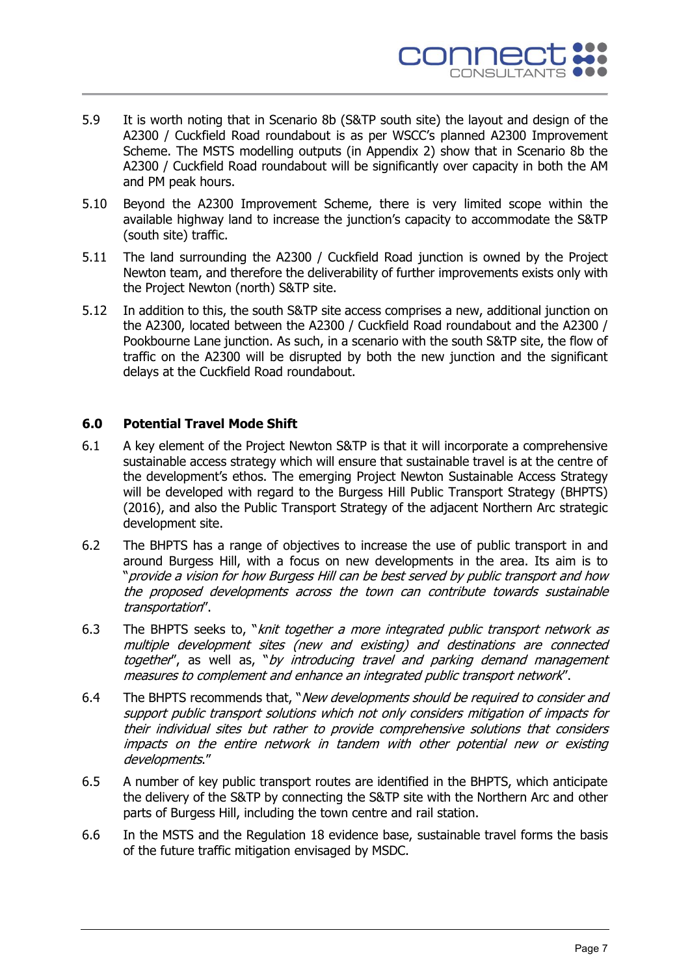

- 5.9 It is worth noting that in Scenario 8b (S&TP south site) the layout and design of the A2300 / Cuckfield Road roundabout is as per WSCC's planned A2300 Improvement Scheme. The MSTS modelling outputs (in Appendix 2) show that in Scenario 8b the A2300 / Cuckfield Road roundabout will be significantly over capacity in both the AM and PM peak hours.
- 5.10 Beyond the A2300 Improvement Scheme, there is very limited scope within the available highway land to increase the junction's capacity to accommodate the S&TP (south site) traffic.
- 5.11 The land surrounding the A2300 / Cuckfield Road junction is owned by the Project Newton team, and therefore the deliverability of further improvements exists only with the Project Newton (north) S&TP site.
- 5.12 In addition to this, the south S&TP site access comprises a new, additional junction on the A2300, located between the A2300 / Cuckfield Road roundabout and the A2300 / Pookbourne Lane junction. As such, in a scenario with the south S&TP site, the flow of traffic on the A2300 will be disrupted by both the new junction and the significant delays at the Cuckfield Road roundabout.

## **6.0 Potential Travel Mode Shift**

- 6.1 A key element of the Project Newton S&TP is that it will incorporate a comprehensive sustainable access strategy which will ensure that sustainable travel is at the centre of the development's ethos. The emerging Project Newton Sustainable Access Strategy will be developed with regard to the Burgess Hill Public Transport Strategy (BHPTS) (2016), and also the Public Transport Strategy of the adjacent Northern Arc strategic development site.
- 6.2 The BHPTS has a range of objectives to increase the use of public transport in and around Burgess Hill, with a focus on new developments in the area. Its aim is to "provide a vision for how Burgess Hill can be best served by public transport and how the proposed developments across the town can contribute towards sustainable transportation".
- 6.3 The BHPTS seeks to, "*knit together a more integrated public transport network as* multiple development sites (new and existing) and destinations are connected together", as well as, "by introducing travel and parking demand management measures to complement and enhance an integrated public transport network".
- 6.4 The BHPTS recommends that, "New developments should be required to consider and support public transport solutions which not only considers mitigation of impacts for their individual sites but rather to provide comprehensive solutions that considers impacts on the entire network in tandem with other potential new or existing developments."
- 6.5 A number of key public transport routes are identified in the BHPTS, which anticipate the delivery of the S&TP by connecting the S&TP site with the Northern Arc and other parts of Burgess Hill, including the town centre and rail station.
- 6.6 In the MSTS and the Regulation 18 evidence base, sustainable travel forms the basis of the future traffic mitigation envisaged by MSDC.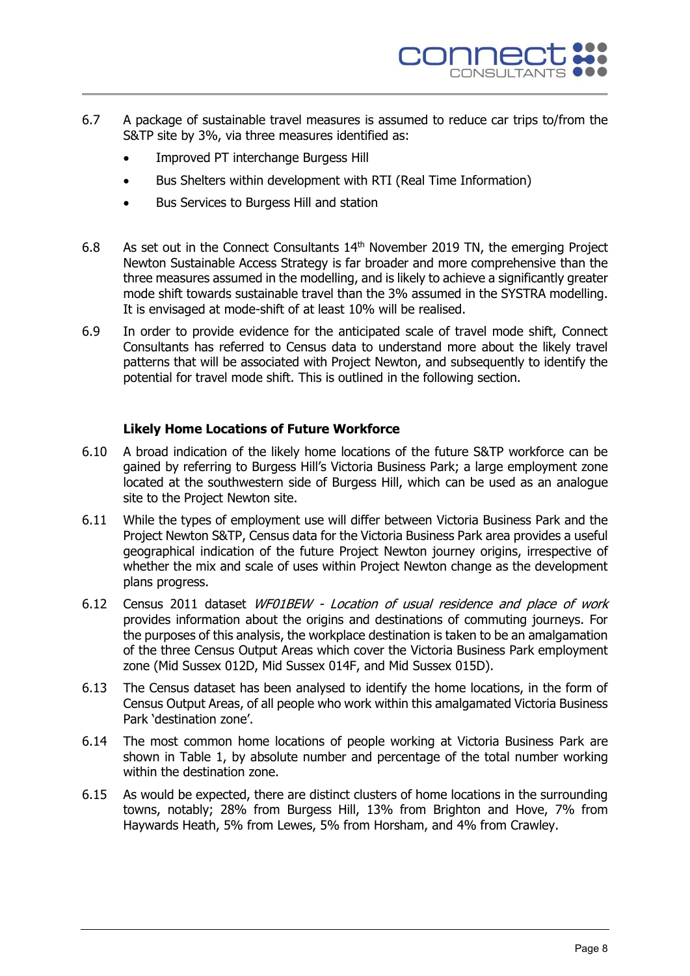

- 6.7 A package of sustainable travel measures is assumed to reduce car trips to/from the S&TP site by 3%, via three measures identified as:
	- Improved PT interchange Burgess Hill
	- Bus Shelters within development with RTI (Real Time Information)
	- Bus Services to Burgess Hill and station
- 6.8 As set out in the Connect Consultants  $14<sup>th</sup>$  November 2019 TN, the emerging Project Newton Sustainable Access Strategy is far broader and more comprehensive than the three measures assumed in the modelling, and is likely to achieve a significantly greater mode shift towards sustainable travel than the 3% assumed in the SYSTRA modelling. It is envisaged at mode-shift of at least 10% will be realised.
- 6.9 In order to provide evidence for the anticipated scale of travel mode shift, Connect Consultants has referred to Census data to understand more about the likely travel patterns that will be associated with Project Newton, and subsequently to identify the potential for travel mode shift. This is outlined in the following section.

#### **Likely Home Locations of Future Workforce**

- 6.10 A broad indication of the likely home locations of the future S&TP workforce can be gained by referring to Burgess Hill's Victoria Business Park; a large employment zone located at the southwestern side of Burgess Hill, which can be used as an analogue site to the Project Newton site.
- 6.11 While the types of employment use will differ between Victoria Business Park and the Project Newton S&TP, Census data for the Victoria Business Park area provides a useful geographical indication of the future Project Newton journey origins, irrespective of whether the mix and scale of uses within Project Newton change as the development plans progress.
- 6.12 Census 2011 dataset WF01BEW Location of usual residence and place of work provides information about the origins and destinations of commuting journeys. For the purposes of this analysis, the workplace destination is taken to be an amalgamation of the three Census Output Areas which cover the Victoria Business Park employment zone (Mid Sussex 012D, Mid Sussex 014F, and Mid Sussex 015D).
- 6.13 The Census dataset has been analysed to identify the home locations, in the form of Census Output Areas, of all people who work within this amalgamated Victoria Business Park 'destination zone'.
- 6.14 The most common home locations of people working at Victoria Business Park are shown in Table 1, by absolute number and percentage of the total number working within the destination zone.
- 6.15 As would be expected, there are distinct clusters of home locations in the surrounding towns, notably; 28% from Burgess Hill, 13% from Brighton and Hove, 7% from Haywards Heath, 5% from Lewes, 5% from Horsham, and 4% from Crawley.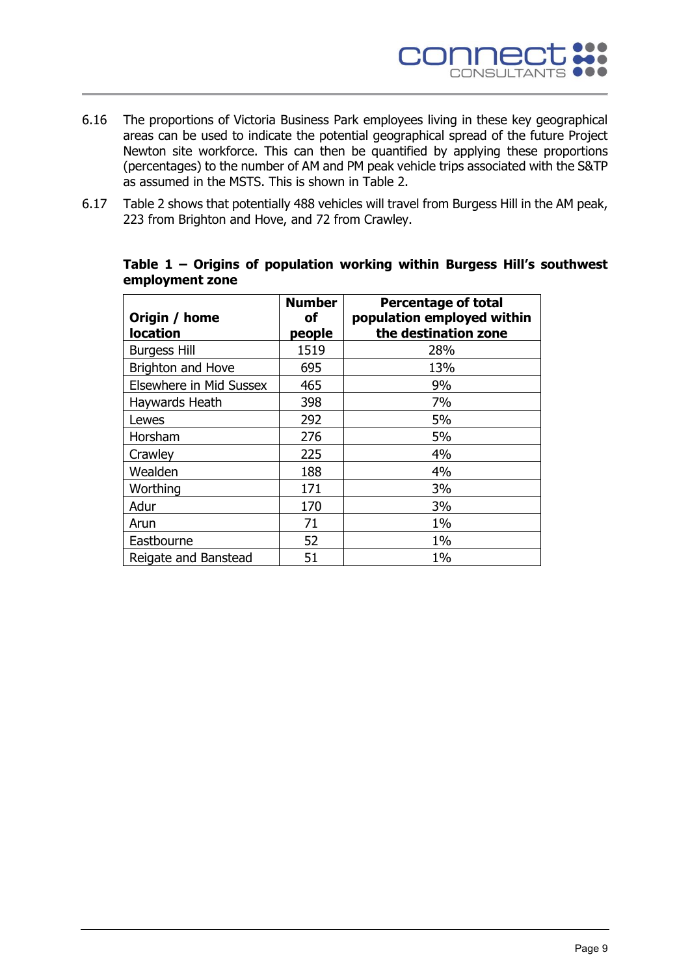

- 6.16 The proportions of Victoria Business Park employees living in these key geographical areas can be used to indicate the potential geographical spread of the future Project Newton site workforce. This can then be quantified by applying these proportions (percentages) to the number of AM and PM peak vehicle trips associated with the S&TP as assumed in the MSTS. This is shown in Table 2.
- 6.17 Table 2 shows that potentially 488 vehicles will travel from Burgess Hill in the AM peak, 223 from Brighton and Hove, and 72 from Crawley.

| Origin / home<br><b>location</b> | <b>Number</b><br>оf<br>people | <b>Percentage of total</b><br>population employed within<br>the destination zone |
|----------------------------------|-------------------------------|----------------------------------------------------------------------------------|
| <b>Burgess Hill</b>              | 1519                          | 28%                                                                              |
| Brighton and Hove                | 695                           | 13%                                                                              |
| Elsewhere in Mid Sussex          | 465                           | 9%                                                                               |
| Haywards Heath                   | 398                           | 7%                                                                               |
| Lewes                            | 292                           | 5%                                                                               |
| Horsham                          | 276                           | 5%                                                                               |
| Crawley                          | 225                           | 4%                                                                               |
| Wealden                          | 188                           | 4%                                                                               |
| Worthing                         | 171                           | 3%                                                                               |
| Adur                             | 170                           | 3%                                                                               |
| Arun                             | 71                            | $1\%$                                                                            |
| Eastbourne                       | 52                            | $1\%$                                                                            |
| Reigate and Banstead             | 51                            | 1%                                                                               |

#### **Table 1 – Origins of population working within Burgess Hill's southwest employment zone**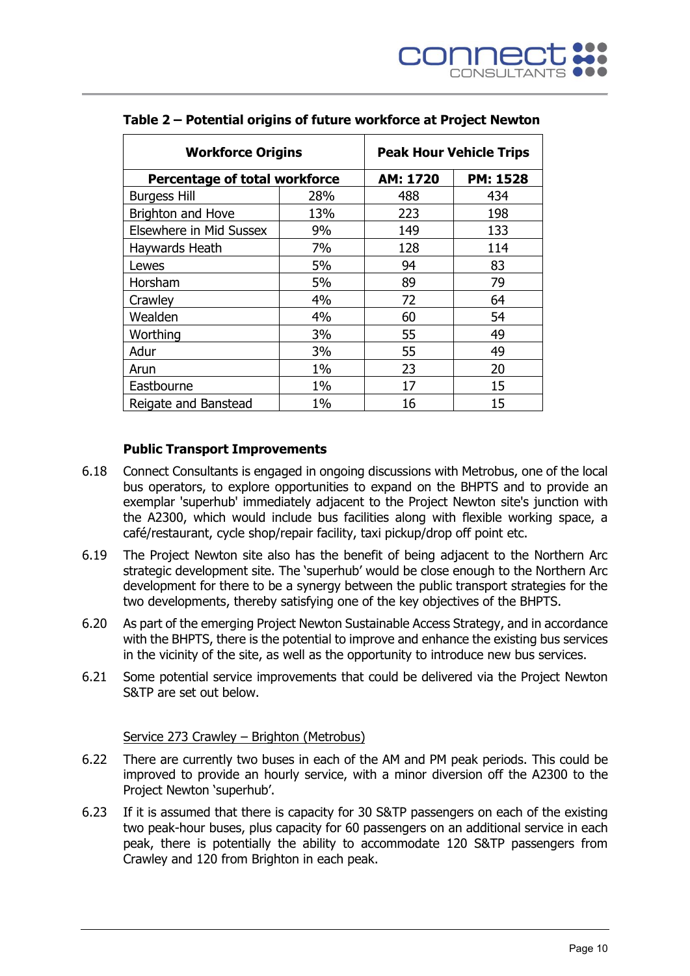| <b>Workforce Origins</b>      |       | <b>Peak Hour Vehicle Trips</b> |                 |  |  |  |  |  |  |  |
|-------------------------------|-------|--------------------------------|-----------------|--|--|--|--|--|--|--|
| Percentage of total workforce |       | AM: 1720                       | <b>PM: 1528</b> |  |  |  |  |  |  |  |
| <b>Burgess Hill</b>           | 28%   | 488                            | 434             |  |  |  |  |  |  |  |
| Brighton and Hove             | 13%   | 223                            | 198             |  |  |  |  |  |  |  |
| Elsewhere in Mid Sussex       | 9%    | 149                            | 133             |  |  |  |  |  |  |  |
| Haywards Heath                | 7%    | 128                            | 114             |  |  |  |  |  |  |  |
| Lewes                         | 5%    | 94                             | 83              |  |  |  |  |  |  |  |
| Horsham                       | 5%    | 89                             | 79              |  |  |  |  |  |  |  |
| Crawley                       | 4%    | 72                             | 64              |  |  |  |  |  |  |  |
| Wealden                       | 4%    | 60                             | 54              |  |  |  |  |  |  |  |
| Worthing                      | 3%    | 55                             | 49              |  |  |  |  |  |  |  |
| Adur                          | 3%    | 55                             | 49              |  |  |  |  |  |  |  |
| Arun                          | $1\%$ | 23                             | 20              |  |  |  |  |  |  |  |
| Eastbourne                    | $1\%$ | 17                             | 15              |  |  |  |  |  |  |  |
| Reigate and Banstead          | $1\%$ | 16                             | 15              |  |  |  |  |  |  |  |

## **Table 2 – Potential origins of future workforce at Project Newton**

#### **Public Transport Improvements**

- 6.18 Connect Consultants is engaged in ongoing discussions with Metrobus, one of the local bus operators, to explore opportunities to expand on the BHPTS and to provide an exemplar 'superhub' immediately adjacent to the Project Newton site's junction with the A2300, which would include bus facilities along with flexible working space, a café/restaurant, cycle shop/repair facility, taxi pickup/drop off point etc.
- 6.19 The Project Newton site also has the benefit of being adjacent to the Northern Arc strategic development site. The 'superhub' would be close enough to the Northern Arc development for there to be a synergy between the public transport strategies for the two developments, thereby satisfying one of the key objectives of the BHPTS.
- 6.20 As part of the emerging Project Newton Sustainable Access Strategy, and in accordance with the BHPTS, there is the potential to improve and enhance the existing bus services in the vicinity of the site, as well as the opportunity to introduce new bus services.
- 6.21 Some potential service improvements that could be delivered via the Project Newton S&TP are set out below.

#### Service 273 Crawley – Brighton (Metrobus)

- 6.22 There are currently two buses in each of the AM and PM peak periods. This could be improved to provide an hourly service, with a minor diversion off the A2300 to the Project Newton 'superhub'.
- 6.23 If it is assumed that there is capacity for 30 S&TP passengers on each of the existing two peak-hour buses, plus capacity for 60 passengers on an additional service in each peak, there is potentially the ability to accommodate 120 S&TP passengers from Crawley and 120 from Brighton in each peak.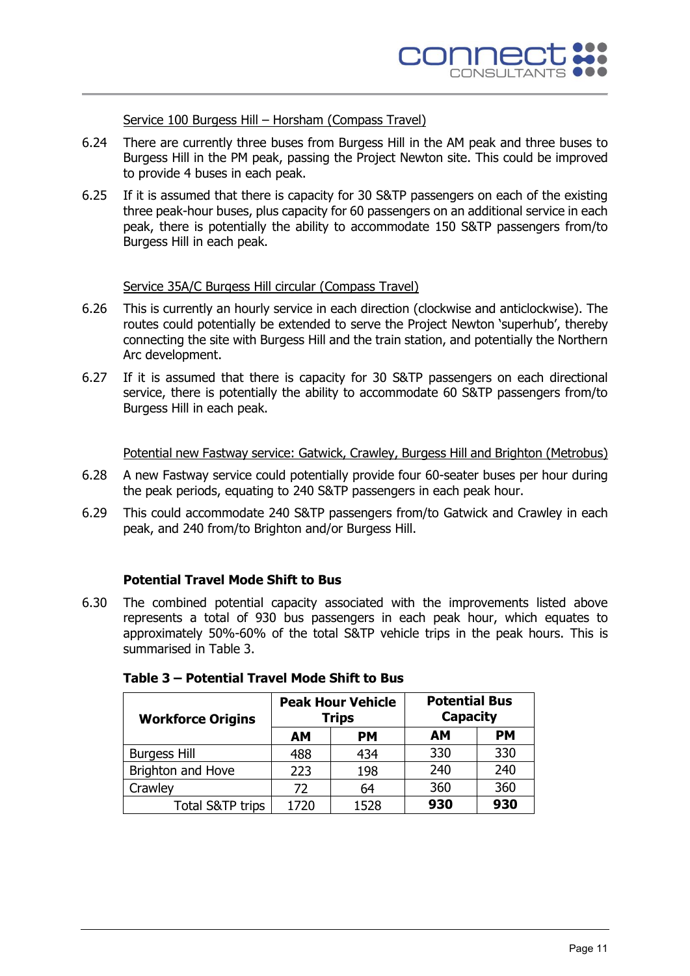Service 100 Burgess Hill – Horsham (Compass Travel)

- 6.24 There are currently three buses from Burgess Hill in the AM peak and three buses to Burgess Hill in the PM peak, passing the Project Newton site. This could be improved to provide 4 buses in each peak.
- 6.25 If it is assumed that there is capacity for 30 S&TP passengers on each of the existing three peak-hour buses, plus capacity for 60 passengers on an additional service in each peak, there is potentially the ability to accommodate 150 S&TP passengers from/to Burgess Hill in each peak.

## Service 35A/C Burgess Hill circular (Compass Travel)

- 6.26 This is currently an hourly service in each direction (clockwise and anticlockwise). The routes could potentially be extended to serve the Project Newton 'superhub', thereby connecting the site with Burgess Hill and the train station, and potentially the Northern Arc development.
- 6.27 If it is assumed that there is capacity for 30 S&TP passengers on each directional service, there is potentially the ability to accommodate 60 S&TP passengers from/to Burgess Hill in each peak.

Potential new Fastway service: Gatwick, Crawley, Burgess Hill and Brighton (Metrobus)

- 6.28 A new Fastway service could potentially provide four 60-seater buses per hour during the peak periods, equating to 240 S&TP passengers in each peak hour.
- 6.29 This could accommodate 240 S&TP passengers from/to Gatwick and Crawley in each peak, and 240 from/to Brighton and/or Burgess Hill.

#### **Potential Travel Mode Shift to Bus**

6.30 The combined potential capacity associated with the improvements listed above represents a total of 930 bus passengers in each peak hour, which equates to approximately 50%-60% of the total S&TP vehicle trips in the peak hours. This is summarised in Table 3.

| <b>Workforce Origins</b>    |           | <b>Peak Hour Vehicle</b><br><b>Trips</b> | <b>Potential Bus</b><br><b>Capacity</b> |           |  |  |  |  |  |  |
|-----------------------------|-----------|------------------------------------------|-----------------------------------------|-----------|--|--|--|--|--|--|
|                             | <b>AM</b> | <b>PM</b>                                | AM                                      | <b>PM</b> |  |  |  |  |  |  |
| <b>Burgess Hill</b>         | 488       | 434                                      | 330                                     | 330       |  |  |  |  |  |  |
| Brighton and Hove           | 223       | 198                                      | 240                                     | 240       |  |  |  |  |  |  |
| Crawley                     | 72        | 64                                       | 360                                     | 360       |  |  |  |  |  |  |
| <b>Total S&amp;TP trips</b> | 1720      | 1528                                     | 930                                     | 930       |  |  |  |  |  |  |

| Table 3 - Potential Travel Mode Shift to Bus |  |  |
|----------------------------------------------|--|--|
|----------------------------------------------|--|--|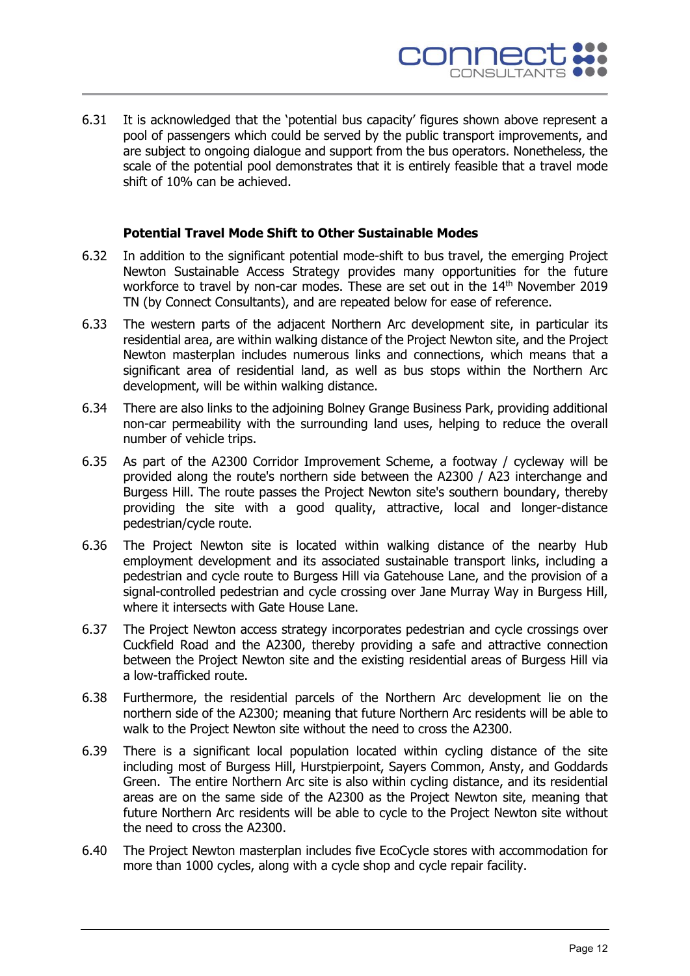

6.31 It is acknowledged that the 'potential bus capacity' figures shown above represent a pool of passengers which could be served by the public transport improvements, and are subject to ongoing dialogue and support from the bus operators. Nonetheless, the scale of the potential pool demonstrates that it is entirely feasible that a travel mode shift of 10% can be achieved.

#### **Potential Travel Mode Shift to Other Sustainable Modes**

- 6.32 In addition to the significant potential mode-shift to bus travel, the emerging Project Newton Sustainable Access Strategy provides many opportunities for the future workforce to travel by non-car modes. These are set out in the 14<sup>th</sup> November 2019 TN (by Connect Consultants), and are repeated below for ease of reference.
- 6.33 The western parts of the adjacent Northern Arc development site, in particular its residential area, are within walking distance of the Project Newton site, and the Project Newton masterplan includes numerous links and connections, which means that a significant area of residential land, as well as bus stops within the Northern Arc development, will be within walking distance.
- 6.34 There are also links to the adjoining Bolney Grange Business Park, providing additional non-car permeability with the surrounding land uses, helping to reduce the overall number of vehicle trips.
- 6.35 As part of the A2300 Corridor Improvement Scheme, a footway / cycleway will be provided along the route's northern side between the A2300 / A23 interchange and Burgess Hill. The route passes the Project Newton site's southern boundary, thereby providing the site with a good quality, attractive, local and longer-distance pedestrian/cycle route.
- 6.36 The Project Newton site is located within walking distance of the nearby Hub employment development and its associated sustainable transport links, including a pedestrian and cycle route to Burgess Hill via Gatehouse Lane, and the provision of a signal-controlled pedestrian and cycle crossing over Jane Murray Way in Burgess Hill, where it intersects with Gate House Lane.
- 6.37 The Project Newton access strategy incorporates pedestrian and cycle crossings over Cuckfield Road and the A2300, thereby providing a safe and attractive connection between the Project Newton site and the existing residential areas of Burgess Hill via a low-trafficked route.
- 6.38 Furthermore, the residential parcels of the Northern Arc development lie on the northern side of the A2300; meaning that future Northern Arc residents will be able to walk to the Project Newton site without the need to cross the A2300.
- 6.39 There is a significant local population located within cycling distance of the site including most of Burgess Hill, Hurstpierpoint, Sayers Common, Ansty, and Goddards Green. The entire Northern Arc site is also within cycling distance, and its residential areas are on the same side of the A2300 as the Project Newton site, meaning that future Northern Arc residents will be able to cycle to the Project Newton site without the need to cross the A2300.
- 6.40 The Project Newton masterplan includes five EcoCycle stores with accommodation for more than 1000 cycles, along with a cycle shop and cycle repair facility.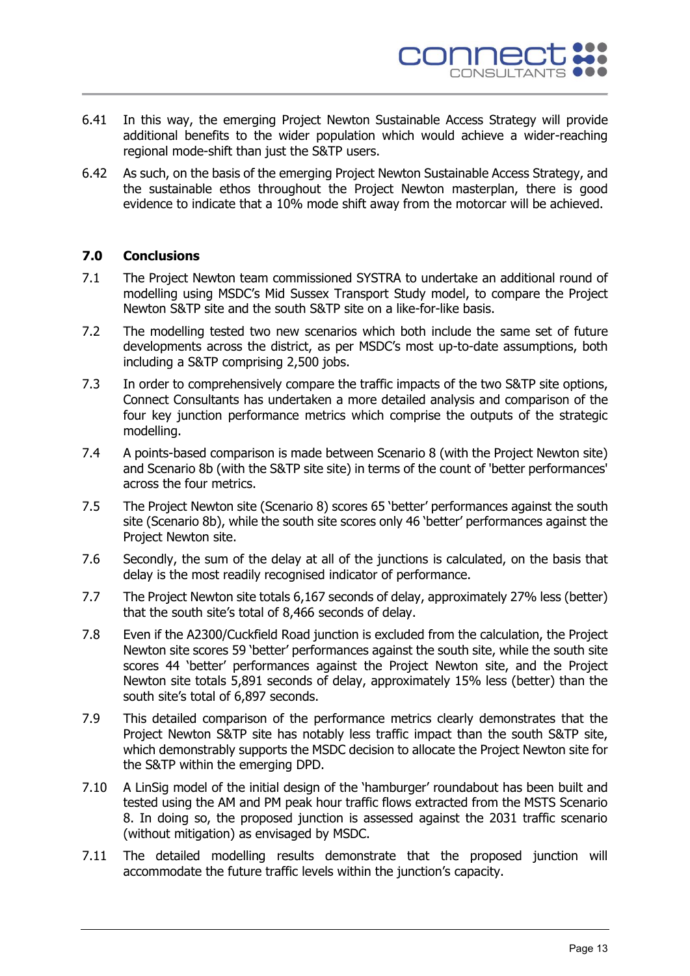

- 6.41 In this way, the emerging Project Newton Sustainable Access Strategy will provide additional benefits to the wider population which would achieve a wider-reaching regional mode-shift than just the S&TP users.
- 6.42 As such, on the basis of the emerging Project Newton Sustainable Access Strategy, and the sustainable ethos throughout the Project Newton masterplan, there is good evidence to indicate that a 10% mode shift away from the motorcar will be achieved.

## **7.0 Conclusions**

- 7.1 The Project Newton team commissioned SYSTRA to undertake an additional round of modelling using MSDC's Mid Sussex Transport Study model, to compare the Project Newton S&TP site and the south S&TP site on a like-for-like basis.
- 7.2 The modelling tested two new scenarios which both include the same set of future developments across the district, as per MSDC's most up-to-date assumptions, both including a S&TP comprising 2,500 jobs.
- 7.3 In order to comprehensively compare the traffic impacts of the two S&TP site options, Connect Consultants has undertaken a more detailed analysis and comparison of the four key junction performance metrics which comprise the outputs of the strategic modelling.
- 7.4 A points-based comparison is made between Scenario 8 (with the Project Newton site) and Scenario 8b (with the S&TP site site) in terms of the count of 'better performances' across the four metrics.
- 7.5 The Project Newton site (Scenario 8) scores 65 'better' performances against the south site (Scenario 8b), while the south site scores only 46 'better' performances against the Project Newton site.
- 7.6 Secondly, the sum of the delay at all of the junctions is calculated, on the basis that delay is the most readily recognised indicator of performance.
- 7.7 The Project Newton site totals 6,167 seconds of delay, approximately 27% less (better) that the south site's total of 8,466 seconds of delay.
- 7.8 Even if the A2300/Cuckfield Road junction is excluded from the calculation, the Project Newton site scores 59 'better' performances against the south site, while the south site scores 44 'better' performances against the Project Newton site, and the Project Newton site totals 5,891 seconds of delay, approximately 15% less (better) than the south site's total of 6,897 seconds.
- 7.9 This detailed comparison of the performance metrics clearly demonstrates that the Project Newton S&TP site has notably less traffic impact than the south S&TP site, which demonstrably supports the MSDC decision to allocate the Project Newton site for the S&TP within the emerging DPD.
- 7.10 A LinSig model of the initial design of the 'hamburger' roundabout has been built and tested using the AM and PM peak hour traffic flows extracted from the MSTS Scenario 8. In doing so, the proposed junction is assessed against the 2031 traffic scenario (without mitigation) as envisaged by MSDC.
- 7.11 The detailed modelling results demonstrate that the proposed junction will accommodate the future traffic levels within the junction's capacity.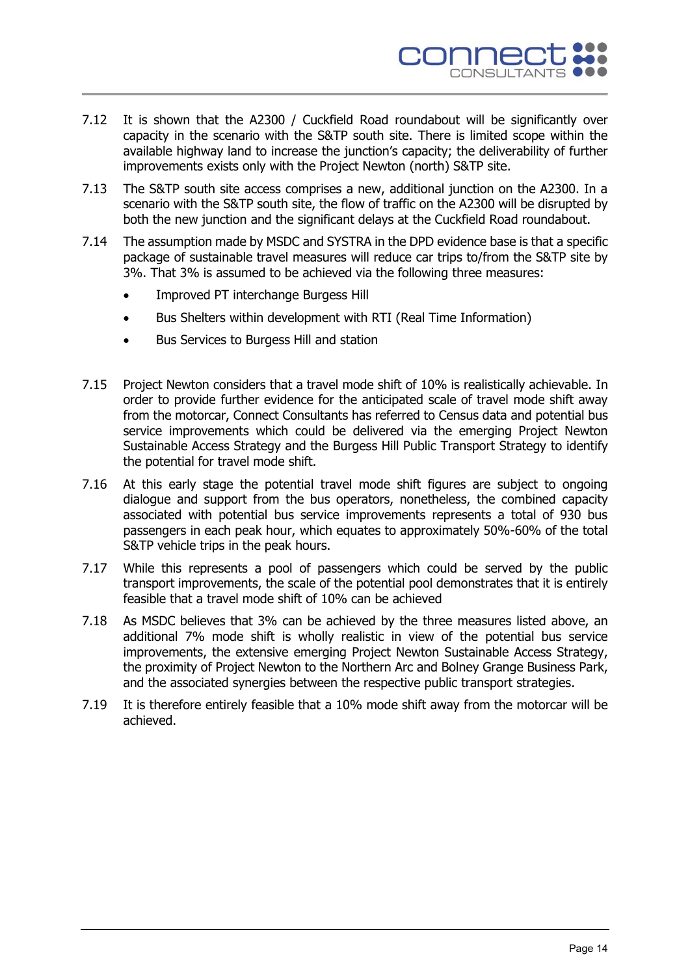

- 7.12 It is shown that the A2300 / Cuckfield Road roundabout will be significantly over capacity in the scenario with the S&TP south site. There is limited scope within the available highway land to increase the junction's capacity; the deliverability of further improvements exists only with the Project Newton (north) S&TP site.
- 7.13 The S&TP south site access comprises a new, additional junction on the A2300. In a scenario with the S&TP south site, the flow of traffic on the A2300 will be disrupted by both the new junction and the significant delays at the Cuckfield Road roundabout.
- 7.14 The assumption made by MSDC and SYSTRA in the DPD evidence base is that a specific package of sustainable travel measures will reduce car trips to/from the S&TP site by 3%. That 3% is assumed to be achieved via the following three measures:
	- Improved PT interchange Burgess Hill
	- Bus Shelters within development with RTI (Real Time Information)
	- Bus Services to Burgess Hill and station
- 7.15 Project Newton considers that a travel mode shift of 10% is realistically achievable. In order to provide further evidence for the anticipated scale of travel mode shift away from the motorcar, Connect Consultants has referred to Census data and potential bus service improvements which could be delivered via the emerging Project Newton Sustainable Access Strategy and the Burgess Hill Public Transport Strategy to identify the potential for travel mode shift.
- 7.16 At this early stage the potential travel mode shift figures are subject to ongoing dialogue and support from the bus operators, nonetheless, the combined capacity associated with potential bus service improvements represents a total of 930 bus passengers in each peak hour, which equates to approximately 50%-60% of the total S&TP vehicle trips in the peak hours.
- 7.17 While this represents a pool of passengers which could be served by the public transport improvements, the scale of the potential pool demonstrates that it is entirely feasible that a travel mode shift of 10% can be achieved
- 7.18 As MSDC believes that 3% can be achieved by the three measures listed above, an additional 7% mode shift is wholly realistic in view of the potential bus service improvements, the extensive emerging Project Newton Sustainable Access Strategy, the proximity of Project Newton to the Northern Arc and Bolney Grange Business Park, and the associated synergies between the respective public transport strategies.
- 7.19 It is therefore entirely feasible that a 10% mode shift away from the motorcar will be achieved.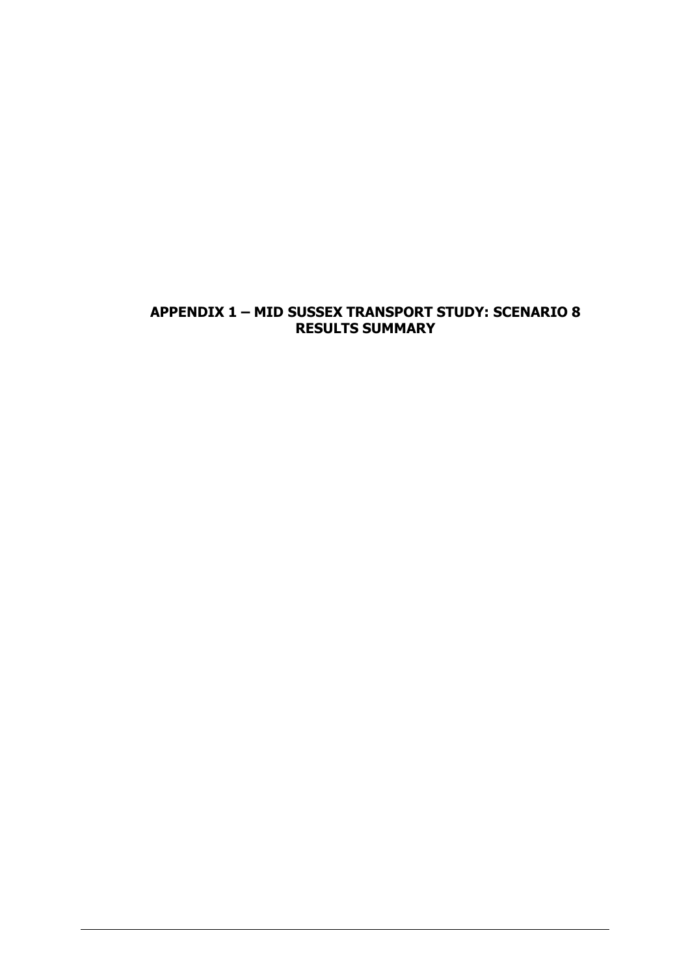# **APPENDIX 1 – MID SUSSEX TRANSPORT STUDY: SCENARIO 8 RESULTS SUMMARY**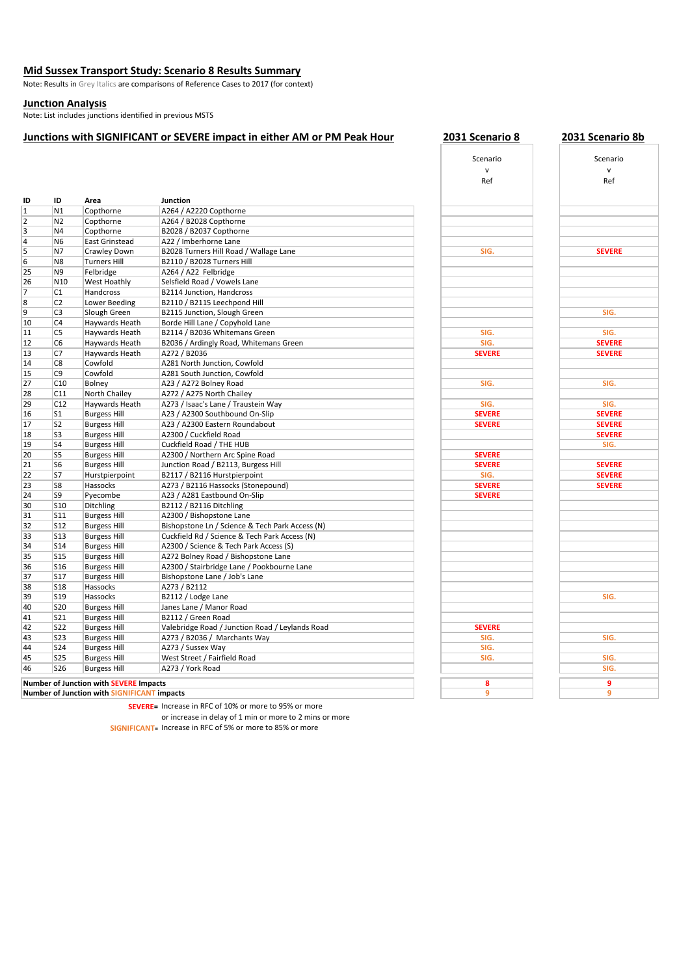#### **Mid Sussex Transport Study: Scenario 8 Results Summary**

Note: Results in Grey Italics are comparisons of Reference Cases to 2017 (for context)

#### **Junction Analysis**

Note: List includes junctions identified in previous MSTS

#### **Junctions with SIGNIFICANT or SEVERE impact in either AM or PM Peak Hour 2031 Scenario 8 2031 Scenario 8b**

|                         |                 |                                                    |                                                 | Ref           | Ref           |
|-------------------------|-----------------|----------------------------------------------------|-------------------------------------------------|---------------|---------------|
| ID                      | ID              | Area                                               | <b>Junction</b>                                 |               |               |
| 1                       | N1              | Copthorne                                          | A264 / A2220 Copthorne                          |               |               |
| $\overline{2}$          | N <sub>2</sub>  | Copthorne                                          | A264 / B2028 Copthorne                          |               |               |
| $\overline{\mathbf{3}}$ | N4              | Copthorne                                          | B2028 / B2037 Copthorne                         |               |               |
| $\overline{4}$          | N <sub>6</sub>  | <b>East Grinstead</b>                              | A22 / Imberhorne Lane                           |               |               |
| 5                       | N7              | Crawley Down                                       | B2028 Turners Hill Road / Wallage Lane          | SIG.          | <b>SEVERE</b> |
| 6                       | N <sub>8</sub>  | <b>Turners Hill</b>                                | B2110 / B2028 Turners Hill                      |               |               |
| 25                      | N <sub>9</sub>  | Felbridge                                          | A264 / A22 Felbridge                            |               |               |
| 26                      | N <sub>10</sub> | West Hoathly                                       | Selsfield Road / Vowels Lane                    |               |               |
| $\overline{7}$          | C1              | Handcross                                          | B2114 Junction, Handcross                       |               |               |
| 8                       | C <sub>2</sub>  | Lower Beeding                                      | B2110 / B2115 Leechpond Hill                    |               |               |
| 9                       | C <sub>3</sub>  | Slough Green                                       | B2115 Junction, Slough Green                    |               | SIG.          |
| 10                      | C4              | Haywards Heath                                     | Borde Hill Lane / Copyhold Lane                 |               |               |
| 11                      | C <sub>5</sub>  | Haywards Heath                                     | B2114 / B2036 Whitemans Green                   | SIG.          | SIG.          |
| 12                      | C <sub>6</sub>  | Haywards Heath                                     | B2036 / Ardingly Road, Whitemans Green          | SIG.          | <b>SEVERE</b> |
| 13                      | C7              | Haywards Heath                                     | A272 / B2036                                    | <b>SEVERE</b> | <b>SEVERE</b> |
| 14                      | C <sub>8</sub>  | Cowfold                                            | A281 North Junction, Cowfold                    |               |               |
| 15                      | C <sub>9</sub>  | Cowfold                                            | A281 South Junction, Cowfold                    |               |               |
| 27                      | C10             | Bolney                                             | A23 / A272 Bolney Road                          | SIG.          | SIG.          |
| 28                      | C11             | North Chailey                                      | A272 / A275 North Chailey                       |               |               |
| 29                      | C12             | Haywards Heath                                     | A273 / Isaac's Lane / Traustein Way             | SIG.          | SIG.          |
| 16                      | S <sub>1</sub>  | <b>Burgess Hill</b>                                | A23 / A2300 Southbound On-Slip                  | <b>SEVERE</b> | <b>SEVERE</b> |
| 17                      | S <sub>2</sub>  | <b>Burgess Hill</b>                                | A23 / A2300 Eastern Roundabout                  | <b>SEVERE</b> | <b>SEVERE</b> |
| 18                      | S <sub>3</sub>  | <b>Burgess Hill</b>                                | A2300 / Cuckfield Road                          |               | <b>SEVERE</b> |
| 19                      | S <sub>4</sub>  | <b>Burgess Hill</b>                                | Cuckfield Road / THE HUB                        |               | SIG.          |
| 20                      | S <sub>5</sub>  | <b>Burgess Hill</b>                                | A2300 / Northern Arc Spine Road                 | <b>SEVERE</b> |               |
| 21                      | S <sub>6</sub>  | <b>Burgess Hill</b>                                | Junction Road / B2113, Burgess Hill             | <b>SEVERE</b> | <b>SEVERE</b> |
| 22                      | S7              | Hurstpierpoint                                     | B2117 / B2116 Hurstpierpoint                    | SIG.          | <b>SEVERE</b> |
| 23                      | S8              | Hassocks                                           | A273 / B2116 Hassocks (Stonepound)              | <b>SEVERE</b> | <b>SEVERE</b> |
| 24                      | S9              | Pyecombe                                           | A23 / A281 Eastbound On-Slip                    | <b>SEVERE</b> |               |
| 30                      | <b>S10</b>      | Ditchling                                          | B2112 / B2116 Ditchling                         |               |               |
| 31                      | <b>S11</b>      | <b>Burgess Hill</b>                                | A2300 / Bishopstone Lane                        |               |               |
| 32                      | S12             | <b>Burgess Hill</b>                                | Bishopstone Ln / Science & Tech Park Access (N) |               |               |
| 33                      | <b>S13</b>      | <b>Burgess Hill</b>                                | Cuckfield Rd / Science & Tech Park Access (N)   |               |               |
| 34                      | <b>S14</b>      | <b>Burgess Hill</b>                                | A2300 / Science & Tech Park Access (S)          |               |               |
| 35                      | <b>S15</b>      | <b>Burgess Hill</b>                                | A272 Bolney Road / Bishopstone Lane             |               |               |
| 36                      | <b>S16</b>      | <b>Burgess Hill</b>                                | A2300 / Stairbridge Lane / Pookbourne Lane      |               |               |
| 37                      | <b>S17</b>      | <b>Burgess Hill</b>                                | Bishopstone Lane / Job's Lane                   |               |               |
| 38                      | <b>S18</b>      | Hassocks                                           | A273 / B2112                                    |               |               |
| 39                      | <b>S19</b>      | Hassocks                                           | B2112 / Lodge Lane                              |               | SIG.          |
| 40                      | <b>S20</b>      | <b>Burgess Hill</b>                                | Janes Lane / Manor Road                         |               |               |
| 41                      | <b>S21</b>      | <b>Burgess Hill</b>                                | B2112 / Green Road                              |               |               |
| 42                      | <b>S22</b>      | <b>Burgess Hill</b>                                | Valebridge Road / Junction Road / Leylands Road | <b>SEVERE</b> |               |
| 43                      | <b>S23</b>      | <b>Burgess Hill</b>                                | A273 / B2036 / Marchants Way                    | SIG.          | SIG.          |
| 44                      | <b>S24</b>      | <b>Burgess Hill</b>                                | A273 / Sussex Way                               | SIG.          |               |
| 45                      | <b>S25</b>      | <b>Burgess Hill</b>                                | West Street / Fairfield Road                    | SIG.          | SIG.          |
| 46                      | <b>S26</b>      | <b>Burgess Hill</b>                                | A273 / York Road                                |               | SIG.          |
|                         |                 |                                                    |                                                 |               |               |
|                         |                 | <b>Number of Junction with SEVERE Impacts</b>      |                                                 | 8             | 9             |
|                         |                 | <b>Number of Junction with SIGNIFICANT impacts</b> |                                                 | 9             | 9             |

| SIG.                    |  |
|-------------------------|--|
|                         |  |
|                         |  |
|                         |  |
|                         |  |
|                         |  |
|                         |  |
|                         |  |
|                         |  |
| SIG.                    |  |
| SIG.                    |  |
|                         |  |
| <b>SEVERE</b>           |  |
|                         |  |
|                         |  |
| SIG.                    |  |
|                         |  |
|                         |  |
| SIG.                    |  |
| <b>SEVERE</b><br>SEVERE |  |
|                         |  |
|                         |  |
|                         |  |
| <b>SEVERE</b>           |  |
|                         |  |
| <b>SEVERE</b>           |  |
| SIG.                    |  |
|                         |  |
| <b>SEVERE</b><br>SEVERE |  |
|                         |  |
|                         |  |
|                         |  |
|                         |  |
|                         |  |
|                         |  |
|                         |  |
|                         |  |
|                         |  |
|                         |  |
|                         |  |
|                         |  |
|                         |  |
|                         |  |
| <b>SEVERE</b>           |  |
| SIG.                    |  |
| SIG.                    |  |
| SIG.                    |  |
|                         |  |
|                         |  |
| 8                       |  |
|                         |  |

Scenario v Ref

| Scenario      |
|---------------|
| $\mathsf{v}$  |
| Ref           |
|               |
|               |
|               |
|               |
|               |
|               |
|               |
| <b>SEVERE</b> |
|               |
|               |
|               |
|               |
|               |
| SIG.          |
|               |
|               |
| SIG.          |
| <b>SEVERE</b> |
| <b>SEVERE</b> |
|               |
|               |
| SIG.          |
|               |
| SIG.          |
| <b>SEVERE</b> |
| <b>SEVERE</b> |
|               |
| <b>SEVERE</b> |
| SIG.          |
|               |
| <b>SEVERE</b> |
| <b>SEVERE</b> |
| <b>SEVERE</b> |
|               |
|               |
|               |
|               |
|               |
|               |
|               |
|               |
|               |
|               |
|               |
| SIG.          |
|               |
|               |
|               |
| SIG.          |
|               |
|               |
| SIG.          |
| SIG.          |
| 9             |
| 9             |
|               |

**SEVERE=** Increase in RFC of 10% or more to 95% or more

or increase in delay of 1 min or more to 2 mins or more

**SIGNIFICANT=** Increase in RFC of 5% or more to 85% or more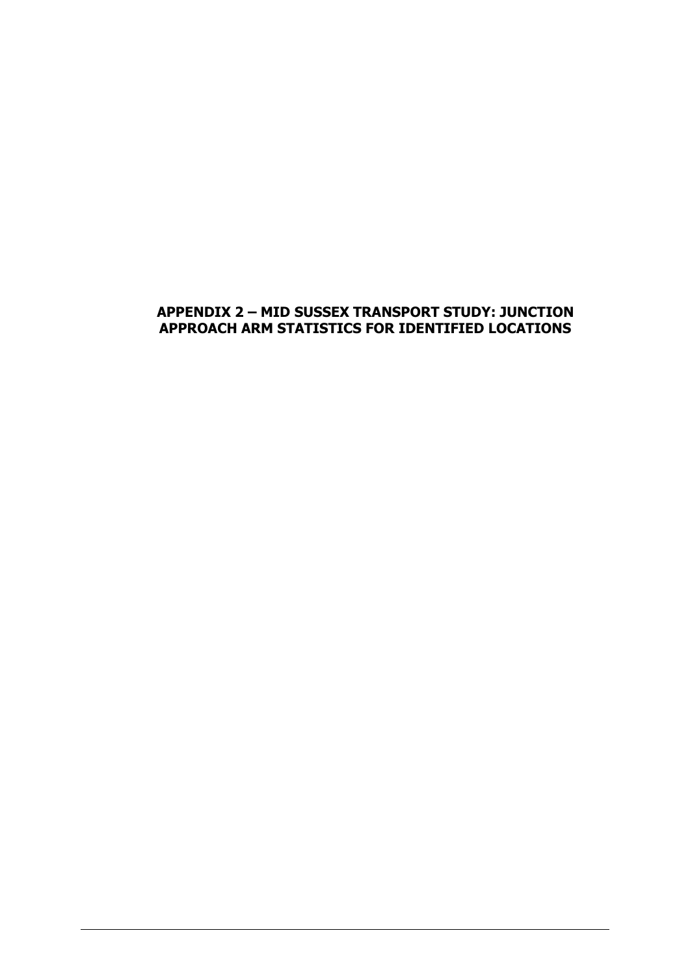# **APPENDIX 2 – MID SUSSEX TRANSPORT STUDY: JUNCTION APPROACH ARM STATISTICS FOR IDENTIFIED LOCATIONS**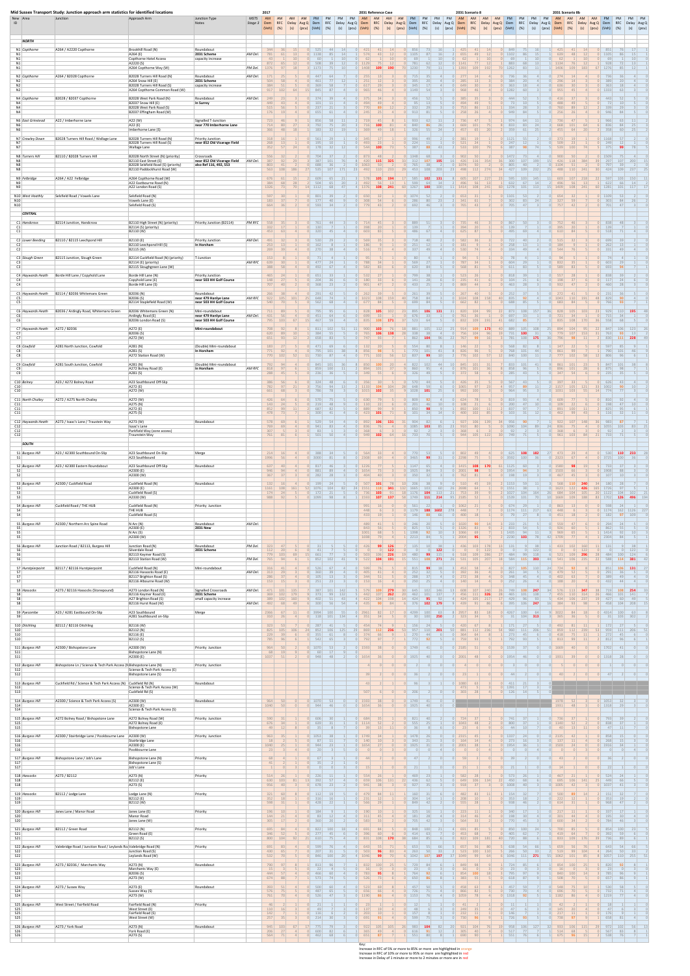| ID                               | New Area                       | Mid Sussex Transport Study: Junction approach arm statistics for identified locations<br>Junction | Approach Arm                                                                              | Junction Type<br>Notes                                        | MSTS<br>Stage 3 | 2017<br>AM<br>Dem<br>(Veh) (%) | AM<br>RFC        | AM   AM  <br>(s) (pcu) (Veh) (%) |                               | PM PM                 | PM PM     |                            | (s) (pcu) (Veh) (%)     | 2031 Reference Case<br>(s)           |                 | AM AM AM AM PM PM<br>Delay Avg Q Dem RFC Delay Avg Q Dem RFC Delay Avg Q Dem RFC Delay Avg Q Dem RFC Delay Avg Q Dem<br>(pcu) (Veh) (%) |                      | PM PM            | (s) (pcu) (Veh) (%)                  | 2031 Scenario 8  | AM AM AM AM PM PM PM PM<br>(s) | (pcu) (Veh) (%)                |                             | (s)                   | (pcu) (Veh) (%) | AM AM                     | 2031 Scenario 8b | AM<br>(s)  | AM<br>RFC Delay Avg Q Dem RFC Delay Avg Q Dem<br>(pcu) (Veh) (%) | PM                  | PM<br>RFC<br>(s)               | PM PM<br>Delay Avg Q<br>$ $ (pcu) |
|----------------------------------|--------------------------------|---------------------------------------------------------------------------------------------------|-------------------------------------------------------------------------------------------|---------------------------------------------------------------|-----------------|--------------------------------|------------------|----------------------------------|-------------------------------|-----------------------|-----------|----------------------------|-------------------------|--------------------------------------|-----------------|-----------------------------------------------------------------------------------------------------------------------------------------|----------------------|------------------|--------------------------------------|------------------|--------------------------------|--------------------------------|-----------------------------|-----------------------|-----------------|---------------------------|------------------|------------|------------------------------------------------------------------|---------------------|--------------------------------|-----------------------------------|
|                                  | <b>NORTH</b>                   |                                                                                                   |                                                                                           |                                                               |                 |                                |                  |                                  |                               |                       |           |                            |                         |                                      |                 |                                                                                                                                         |                      |                  |                                      |                  |                                |                                |                             |                       |                 |                           |                  |            |                                                                  |                     |                                |                                   |
| N1                               | N1 Copthorne                   | A264 / A2220 Copthorne                                                                            | Brookhill Road (N)<br>A264 (E)                                                            | Roundabout<br>2031 Scheme                                     | AM Del.         | 344<br>781                     |                  |                                  | $0$   1138                    |                       |           |                            | 574                     | 43                                   |                 | $0$ 1105                                                                                                                                |                      |                  | 655                                  | 49               |                                | $1102$                         |                             |                       |                 | 639                       | 48               |            | 011105                                                           |                     | 86                             | 15                                |
| N1<br>N1<br>N1                   |                                |                                                                                                   | Copthorne Hotel Access<br>A2220(S)<br>A264 Copthorne Way (W)                              | capacity increase                                             | PM Del.         | 43<br>872<br>1376              | 97               | <b>18</b>                        | 508<br>1173                   |                       |           |                            | 0  1129<br>0 1408       | 109<br>190                           |                 | 781<br>1230<br>70                                                                                                                       |                      |                  | 62<br>1141<br>1393                   | 109              | 192                            | 883<br>1262                    | 69<br>68<br>83              | 11                    |                 | 1134<br>1406              | 109              | 183        | 67 1276                                                          | 928                 | 72<br>85                       | 10<br>13<br>12                    |
| N2                               | N2 Copthorne                   | A264 / B2028 Copthorne                                                                            | B2028 Turners Hill Road (N)<br>A264 Snow Hill (E)                                         | Roundabout<br>2031 Scheme                                     | AM Del.         | 171<br>504                     | 58               |                                  | 447<br>461                    | 77                    |           |                            | 251                     | 12                                   |                 | 715<br>395                                                                                                                              | 20                   |                  | 277<br>285                           | 13               |                                | 736<br>384                     | 20 <sup>1</sup>             |                       |                 | 274<br>296                | 14               |            |                                                                  | 736<br>389          | 20                             |                                   |
| N2<br>N2                         |                                |                                                                                                   | B2028 Turners Hill Road (S)<br>A264 Copthorne Common Road (W)                             | capacity increase                                             |                 | 384<br>917                     | 51<br><b>102</b> | 64                               | 369<br>845<br>15 <sup>1</sup> | 58<br>87              |           |                            | 617<br>965              | 29<br>46                             |                 | 345<br>0   1149                                                                                                                         | 17<br>54             |                  | 649<br>968                           | 46               |                                | 363<br>1282                    | 18                          |                       |                 | 636<br>955                | 45               |            | 0 1333                                                           | 363                 | 18<br>63                       |                                   |
| N4<br>N4                         | N4 Copthorne                   | B2028 / B2037 Copthorne                                                                           | B2028 West Park Road (N)<br>B2037 Snow Hill (E)<br>B2028 West Park Road (S)               | Roundabout<br>In Surrey                                       | AM Del.         | 249<br>449<br>515              | 43<br>56         |                                  | 101<br>237                    |                       |           |                            | 494<br>770              | 49<br>89                             |                 | 456<br>95<br>332                                                                                                                        | 13<br>29             |                  | 385<br>494<br>753                    | 49<br>86         | 11                             | 444<br>334                     | 73<br>10 <sup>1</sup><br>28 |                       |                 | 488<br>760                | 49<br>89         |            |                                                                  | 443<br>72<br>339    | 52<br>10<br>29                 |                                   |
| N4                               | N6 East Grinstead              | A22 / Imberhorne Lane                                                                             | B2037 Effingham Road (W)<br>A22 (W)                                                       | Signalled T-Junction                                          |                 | 176<br>723                     |                  |                                  | 655<br>856                    | 61                    |           |                            | 245                     |                                      |                 | 913<br>933                                                                                                                              | 81                   |                  | 258<br>736                           | $\Delta$ 7       |                                | 949<br>974                     | 84                          | 64                    |                 | 256<br>736                |                  |            |                                                                  | 946<br>966          | 84<br>63                       |                                   |
| N <sub>6</sub><br>N <sub>6</sub> |                                |                                                                                                   | A22 (E)<br>Imberhorne Lane (S)                                                            | near 770 Imberhorne Lane                                      |                 | 714<br>366                     | 80<br>48         | <b>18</b>                        | 792<br>183                    | 75<br>32              |           |                            | 716<br>369              | 100<br>49                            |                 | 840<br>326                                                                                                                              | 86<br>55             | 26<br>24         | 669<br>457                           | 101<br>65        | 20                             | 833<br>359                     |                             | 83<br>24<br>61<br>25  |                 | 668<br>$2 \mid 455 \mid$  | 101<br>64        | 64<br>20   |                                                                  | 836<br>358          | 84<br>60<br>25                 | 25                                |
| N7<br>N7                         | N7 Crawley Down                | B2028 Turners Hill Road / Wallage Lane                                                            | B2028 Turners Hill Road (N)<br>B2028 Turners Hill Road (S)<br><b>Wallage Lane</b>         | <b>Priority Junction</b><br>near 852 Old Vicarage Field       |                 | 318<br>268<br>352              | 57               | 24                               | 561<br>195<br>178             | 32                    | 12        | 0                          | 493<br>544              | 100                                  |                 | 996<br>224<br>387                                                                                                                       | 88                   | 43               | 381<br>521<br>533                    | 100              | 79                             | 1121<br>247<br>387             |                             | 98<br>74              | 5 <sup>1</sup>  | 509<br>539                | 100              | 74         |                                                                  | 1168<br>249<br>375  | 12<br>99                       | 78                                |
| N8                               | N8 Turners Hill                | B2110 / B2028 Turners Hill                                                                        | B2028 North Street (N) (priority)<br>B2110 East Street (E)                                | Crossroads<br>near 852 Old Vicarage Field                     | AM Del.         | 556<br>387                     |                  |                                  | 704<br>387                    | 101                   |           |                            | 873<br>420              | 115<br>325                           |                 | 1348<br>312                                                                                                                             | -68<br>107           | 195              | 902<br>426                           |                  | 354                            | 1472<br>300                    | 107                         |                       |                 | 900<br>426                | 118              |            |                                                                  | 1509<br>297         | 107<br>200                     |                                   |
| N8<br>N8                         |                                |                                                                                                   | B2028 Selsfield Road (S) (priority)<br>B2110 Paddockhurst Road (W)                        | also Ref 116, 492, 553                                        |                 | 803                            | $563$ 108        | 186                              | 688<br>27 535                 |                       | $107$ 171 | 23                         | 1063<br>492             | 110<br>233                           |                 | 765<br>29   453                                                                                                                         | 108                  | 203              | 1074<br>498<br>23                    | 112              | 274                            | 805<br>34   427                | 40<br>109                   | 232                   | 25              | 1104<br>488               |                  | $110$ 241  | 30                                                               | 797<br>424          | 39<br>109<br>237               |                                   |
| N9<br>N9                         | N9 Felbridge                   | A264 / A22 Felbridge                                                                              | A264 Copthorne Road (W)<br>A22 Eastbourne Road (N)<br>A22 London Road (S)                 |                                                               |                 | 676<br>384<br>1326             | 68               |                                  | 609<br>504<br>14 1112         | 65<br>65<br>68        |           |                            | 578<br>492<br>4 1376    | 105<br>194<br>56<br>13<br>108<br>241 |                 | 585<br>599<br>60 1267                                                                                                                   | 102 131<br>64<br>100 | 14<br>100        | 605<br>496<br>$11 \mid 1414 \mid$    | 107<br>56<br>108 | 227<br>13<br>241               | 595<br>23<br>632<br>60 1278    | 103<br>67<br>101            | 145<br>14<br>113      | 11              | 603<br>496<br>15 1409     | 107<br>56<br>108 | 218<br>241 | 60 1281                                                          | 597<br>622          | 103<br>150<br>66<br>101<br>117 | 14                                |
| N10                              | N10 West Hoathly               | Selsfield Road / Vowels Lane                                                                      | Selsfield Road (N)<br>Vowels Lane (E)                                                     |                                                               |                 | 597<br>183                     |                  |                                  | 801<br>177                    |                       |           |                            | 650<br>308              |                                      |                 | 1074<br>286                                                                                                                             |                      |                  | 653<br>341                           |                  |                                | 1101<br>302                    | 83                          | 24                    |                 | 654<br>327                |                  |            |                                                                  | 1109<br>303         | 53<br>84                       | 26                                |
| N <sub>10</sub>                  | <b>CENTRAL</b>                 |                                                                                                   | Selsfield Road (S)                                                                        |                                                               |                 | 664                            |                  |                                  | 593                           |                       |           |                            | 77 <sup>q</sup>         |                                      |                 | 692                                                                                                                                     |                      |                  | 765                                  |                  |                                | 705                            | $\Delta$ 7                  |                       |                 |                           |                  |            |                                                                  | 701                 | 47                             |                                   |
| C1                               | C1 Handcross                   | B2114 Junction, Handcross                                                                         | B2110 High Street (N) (priority)<br>B2114 (S) (priority)                                  | Priority Junction (B2114)                                     | <b>PM RFC</b>   | 558                            |                  |                                  | 761<br>130                    | 44                    |           |                            | 714<br>398              | 45                                   |                 | 889<br>139                                                                                                                              |                      |                  | 735<br>394                           | 46               |                                | 867<br>139                     |                             |                       |                 | 752<br>395                |                  |            |                                                                  | 838<br>139          | 48                             |                                   |
| C1                               | C2 Lower Beeding               | B2110 / B2115 Leechpond Hill                                                                      | B2110 (W)<br>B2110 (E)                                                                    | <b>Priority Junction</b>                                      | AM Del.         | 453<br>491                     | 63<br>32         |                                  | 320<br>530                    | 45                    |           |                            | 603<br>569              | 83                                   |                 | 486<br>718                                                                                                                              | 67<br>40             |                  | 625<br>582                           | 87               |                                | 495<br>722                     | 69<br>40                    |                       |                 | 610<br>515                | 84               |            |                                                                  | 518<br>699          | 71                             |                                   |
| C2<br>C <sub>2</sub>             |                                |                                                                                                   | B2110 Leechpond Hill (S)<br>B2115 (W)                                                     | <b>In Horsham</b>                                             |                 | 253<br>269                     | 13               |                                  | 162<br>270                    |                       |           |                            | 186<br>516              |                                      |                 | 251<br>337                                                                                                                              | 12<br>49             |                  | 181<br>530                           |                  |                                | 258<br>334                     | 13<br>49                    |                       |                 | 184<br>544                |                  |            |                                                                  | 262<br>331          | 13<br>49                       |                                   |
| C3<br>C3                         | C3 Slough Green                | B2115 Junction, Slough Green                                                                      | B2114 Cuckfield Road (N) (priority)<br>B2114 (E) (priority)<br>B2115 Sloughgreen Lane (W) | T-Junction                                                    | AM RFC          | 153<br>639<br>388              |                  |                                  | 477<br>492                    | 24<br>67              |           |                            | 788<br>582              | 83                                   |                 | 80<br>569<br>620                                                                                                                        | 27<br>84             |                  | 94<br>787<br>568                     | 81               |                                | 604<br>611                     | 78<br>29 <sub>1</sub><br>83 |                       |                 | 832<br>589                |                  |            |                                                                  | 74<br>603<br>693    | 29<br>-94                      |                                   |
|                                  | C4 Haywards Heath              | Borde Hill Lane / Copyhold Lane                                                                   | Borde Hill Lane (N)                                                                       | <b>Priority Junction</b>                                      |                 | 465<br>148                     | 27               |                                  | 651<br>204                    |                       |           |                            | 532<br>180              |                                      |                 | 799<br>141                                                                                                                              | 28                   |                  | 523<br>235                           | 41               |                                | 818                            | 21                          |                       |                 | 557<br>198                |                  |            | 0                                                                | 838                 | 39<br>24                       |                                   |
| C4<br>C4                         |                                |                                                                                                   | Copyhold Lane (E)<br>Borde Hill Lane (S                                                   | near 503 HH Golf Course                                       |                 | 707<br>266                     | 40               |                                  | 368                           | 23                    |           |                            | 901                     | 47                                   |                 | 433                                                                                                                                     |                      |                  | 869                                  | 44               |                                | 104<br>463                     | 28                          |                       | 0               | 932                       | 47               |            |                                                                  | 117<br>460          |                                |                                   |
| C5<br>C5                         | C5 Haywards Heath              | B2114 / B2036 Whitemans Green                                                                     | B2036 (N)<br>B2036 (S)<br>B2114 Staplefield Road (W)                                      | Roundabout<br>near 479 Hanlye Lane<br>near 503 HH Golf Course | AM RFC          | 922<br>540                     | 105              | 101                              | 291<br>25<br>648<br>562       | 42<br>74<br>68        |           | 0                          | $0 \mid 1023$<br>677    | 108<br>159<br>84                     | 40              | 261<br>758<br> 0 <br>699                                                                                                                | 84<br>84             |                  | 267<br>$1024$<br>662                 | 108<br>82        | 158                            | 252<br>40<br>835<br>688        | 85                          | 92<br>$\Delta$        | 0               | $0 \mid 1043$<br>683      | 110<br>84        | 191        | 48<br> 0                                                         | 231<br>829<br>766   | 90<br>93                       |                                   |
| C6                               | C6 Haywards Heath              | B2036 / Ardingly Road, Whitemans Green                                                            | B2036 Whitemans Green (N)<br>Ardingly Road (E)                                            | Mini-roundabout<br>near 479 Hanlye Lane                       | AM Del.         | 711<br>431                     |                  |                                  | 795<br>451                    | 95<br>64              |           |                            | 828<br>699              | 105<br>102                           | 23              | 895<br>676                                                                                                                              | 106 131<br>33        |                  | 31<br>820<br>761                     | 104              | 99                             | 873<br>22<br>697               | 108                         | 157                   | 36              | 828<br>721                | 105              | 103        | 23                                                               | 929<br>715          | 110<br>195<br>34               |                                   |
| C6                               | C7 Haywards Heath A272 / B2036 |                                                                                                   | B2036 London Road (S)<br>A272 (E)                                                         | near 503 HH Golf Course<br>Mini-roundabout                    |                 | 795<br>708                     | 103<br>92        | 67                               | 15<br>467<br>811              | 59<br>102             |           | 0                          | 835<br>900              | 108<br>171<br>103                    | 37              | 523<br>18 881                                                                                                                           | 64                   |                  | 832<br>914                           | 109<br>109       | 191<br>173                     | 41<br>682<br>40<br>889         | 85<br>105                   | 108                   |                 | 835<br>894                | 108<br>104       | 170        |                                                                  | 558<br>847          | 68                             |                                   |
| C7<br>C7                         |                                |                                                                                                   | B2036 (S)<br>A272 (W)                                                                     |                                                               |                 | 620<br>651                     | 89<br>93         |                                  | 384<br>658                    | -55<br>83             |           |                            | 765<br>747              | 106<br>138                           | 28              | 338<br>862                                                                                                                              | 38<br>104            |                  | 756                                  | 104              |                                | 731<br>781                     | 100<br>108                  | -31<br>175            |                 | 779                       | 107              |            |                                                                  | 763<br>830          | -93<br>111<br>228              |                                   |
| C8<br>C8                         | C8 Cowfold                     | A281 North Junction, Cowfold                                                                      | A281 (N)<br>A281(S)<br>A272 Station Road (W)                                              | (Double) Mini-roundabout<br>In Horsham                        |                 | 183<br>$771$<br>770            | 92<br><b>102</b> | 52                               | 471<br>795<br>730<br>11       | 69<br>101<br>-87      |           |                            | 132<br>856<br>771       | 102<br>56                            | 12              | 554<br>773<br>837                                                                                                                       | 101<br>99            | 41<br>10         | 146<br>826<br>776                    | 22<br>102        |                                | 568<br>768<br>840<br>12        | $101$<br>100                | 44<br>11              |                 | 147<br>861<br>777         | 99<br>102        | 581        |                                                                  | 597<br>790<br>-806  | 101                            | 46                                |
| C9                               | C9 Cowfold                     | A281 South Junction, Cowfold                                                                      | A281 (N)<br>A272 Bolney Road (E)                                                          | (Double) Mini-roundabout<br>In Horsham                        | AM RFC          | 792<br>818                     | 97               |                                  | 845<br>1 859                  | 101<br>100            |           | 2                          | 850<br>894              | 100<br>101<br>37                     |                 | $4$ 822<br>9<br>860                                                                                                                     | 102<br>95            | 44<br>4          | 10 <sup>1</sup><br>845<br> 0 <br>876 | 101<br>101       | 36                             | 833<br>8 858                   | 101<br>96                   | 41                    | Q<br> 0         | 861<br>896                | 101<br>101       | 28         | 6                                                                | 847<br>875          | 101<br>98                      | 38                                |
| C9                               | C10 Bolney                     | A23 / A272 Bolney Road                                                                            | A281 (S)<br>A23 Southbound Off-Slip                                                       |                                                               |                 | 386                            | 288 45           |                                  | 0 236                         |                       |           |                            | 349                     |                                      |                 | 326                                                                                                                                     | 49                   |                  | 372                                  |                  |                                | $0$ 285                        | 43                          |                       | 0               | 347                       | 54               |            |                                                                  | 235                 |                                |                                   |
| C10<br>C10                       |                                |                                                                                                   | A272 (E)<br>A272 (W)                                                                      |                                                               |                 | 782<br>661                     | 97<br>68         |                                  | 756<br>786                    | 94<br>78              |           |                            | 2 1133<br>$0 \mid 1015$ | 104<br>104<br>102                    | 28              | 648<br>9   1028                                                                                                                         | 59<br>101            | 25               | 1065<br>992                          | 97<br>100        | 23                             | 957<br>$\Delta$<br>964         | 95                          | 89<br>11              |                 | 1157<br>0   1031          | 105<br>103       | 121<br>55  | 33 1002<br>$14$ 774                                              |                     | 90<br>77                       | 10 <sup>1</sup>                   |
| C11<br>C11                       | C11 North Chailey              | A272 / A275 North Chailey                                                                         | A272 (W)<br>A275 (N)<br>A272 (E)                                                          |                                                               |                 | 426<br>143<br>852              | 64<br>24<br>99   |                                  | 570<br>219<br>687             | 48<br>82              |           | $\Omega$                   | 630<br>110<br>889       | 99                                   |                 | 809<br>201<br>850                                                                                                                       | 92<br>46<br>98       |                  | 624<br>108<br>892                    | 78<br>100        |                                | 819<br>200<br>837              | 93<br>47<br>97              |                       |                 | 609<br>109<br>891         | 22<br>100        | 11         |                                                                  | 810<br>198<br>825   | 92<br>47<br>95                 | 10 <sup>1</sup><br>6 <sup>1</sup> |
| C11                              | C12 Haywards Heath             | A273 / Isaac's Lane / Traustein Way                                                               | A275 (S)<br>A273 (W)                                                                      | Roundabout                                                    |                 | 478<br>578                     | 73               |                                  | 300<br>529                    | 41<br>54              |           | 0                          | 423<br>892              | 101<br>106<br>131                    | 31              | 101<br>904                                                                                                                              | 34<br>82             | 14               | 400<br>927                           | 102<br>106       | 139                            | 103<br>956<br>34               |                             | 31<br>12              | 0               | 462<br>922                | 99<br>107        | 43<br>148  |                                                                  | 116<br>983          | 32<br>87                       | 11                                |
| C12<br>C12<br>C12                |                                |                                                                                                   | Isaac's Lane<br>Parkfield Way (zone access)<br>Traunstein Way                             |                                                               |                 | 769<br>307<br>761              | 81               |                                  | 941<br>83<br>501              | 83                    |           | $\Omega$<br>$\overline{0}$ | 836<br>368<br>949       | 102<br>64                            |                 | 1085<br>Q <sub>2</sub><br>$\Omega$<br>$16$ 733                                                                                          | 103                  |                  | 910<br>$\sqrt{ }$<br>368<br>944      | 105              | $122$                          | 1090<br>749<br>30 <sup>1</sup> | 104<br>92                   |                       | 24<br> 0 <br> 0 | 836<br>368<br>961         | 103              | 84         | 21                                                               | 1055<br>92<br>733   | 103<br>71                      | 83                                |
|                                  | <b>SOUTH</b>                   |                                                                                                   |                                                                                           |                                                               |                 |                                |                  |                                  |                               |                       |           |                            |                         |                                      |                 |                                                                                                                                         |                      |                  |                                      |                  |                                |                                |                             |                       |                 |                           |                  |            |                                                                  |                     |                                |                                   |
| S1                               | S1 Burgess Hill                | A23 / A2300 Southbound On-Slip                                                                    | A23 Southbound On-Slip<br>A23 Southbound                                                  | Merge                                                         |                 | 214<br>1996                    | 16               | $\Delta$<br>4                    | 388<br>0   3000               | 34<br>81              |           | $\Omega$                   | 564<br>$0 \mid 2308$    |                                      |                 | 770<br>$0$ 3465                                                                                                                         | 53<br>99             | 31               | 802<br>$0$ 2298                      | 49               |                                | 625<br>0   3592                | 108<br>100                  | 182                   |                 | 27 473<br>$0$ 2323        | 67               |            | 0   3725                                                         | 530                 | 110<br>233<br>100              |                                   |
| S <sub>2</sub><br>S <sub>2</sub> | S2 Burgess Hill                | A23 / A2300 Eastern Roundabout                                                                    | A23 Southbound Off-Slip<br>A2300 (E)<br>A2300 (W)                                         | Roundabout                                                    |                 | 637<br>946<br>367              | 94<br>37         |                                  | 81<br>881<br>282              | 46<br>89<br>28        |           | $\Omega$                   | 1226<br>1654<br>404     | 40                                   |                 | 1147<br>1925<br>350<br>$\Omega$                                                                                                         | 84<br>32             |                  | 1415<br>2001<br>762                  | 108<br>98<br>81  | 170                            | 1125<br>61<br>1954<br>198      | 60<br>94                    | 19                    | $\bigcap$       | 1580<br>1503<br>467       | 98<br>66<br>45   |            | $\Omega$                                                         | 733<br>1908<br>107  | 88<br>10                       |                                   |
| S3                               | S3 Burgess Hill                | A2300 / Cuckfield Road                                                                            | Cuckfield Road (N)<br>A2300 (E)                                                           | Roundabout                                                    |                 | 132<br>1161                    | 16               | 161                              | 199<br>1076                   | 24<br>104             |           | $\circ$<br>24 155          | 507                     | 101<br>118<br>341                    | 10              | 206<br>1665                                                                                                                             | 38<br>103            |                  | 510<br>26 <br>2698                   | 45<br>64         | 19                             | 1153<br>1551                   |                             | 59<br>11              |                 | 568<br>1623               | 110              | 240<br>426 | 34<br>165                                                        | 180<br>1726         | 28<br>97                       |                                   |
| S3<br>S3                         |                                |                                                                                                   | Cuckfield Road (S)<br>A2330 (W)                                                           |                                                               |                 | 174<br>988                     | 92               |                                  | 172<br>0   1099               | 98                    |           |                            | 736<br>$1 \vert 1593$   | 103<br>107<br>137                    | 18 <sup>1</sup> | 1176<br>58 1749                                                                                                                         | 104<br>$111$         | 113<br>214       | 21<br>753<br>95<br>2185              | 52               |                                | 1027<br>1539                   | 104<br>101                  | 164<br>70             | 26<br>10        | 684<br>1669               | 104<br>109       | 188        | 83 1702                                                          | 1122                | 102<br>104<br>126<br>496       | 194                               |
| <b>S4</b>                        | S4 Burgess Hill                | Cuckfield Road / THE HUB                                                                          | Cuckfield Road (N)<br>THE HUB                                                             | Priority Junction                                             |                 |                                |                  |                                  |                               |                       |           |                            | 991<br>448              |                                      |                 | 561<br>1179                                                                                                                             | 22<br>188 1602       | 278              | $0 \mid 1062$<br>448                 | 21               |                                | 674<br>1174                    | 29<br>111                   | 217                   | 63              | 863<br>448                |                  |            | 0   1174                                                         | 598                 | 24<br>$162$ 1126               | 227                               |
| S4                               | S5 Burgess Hill                | A2300 / Northern Arc Spine Road                                                                   | Cuckfield Road (S)<br>N Arc (N)                                                           | Roundabout                                                    | AM Del.         |                                |                  |                                  |                               |                       |           |                            | 433<br>489              | 41                                   |                 | 146<br>246                                                                                                                              |                      |                  | 400<br>1020                          |                  | 14                             | 233                            | 21                          |                       |                 | 559                       |                  |            |                                                                  | 182<br>294          | 97<br>109<br>24                |                                   |
| S <sub>5</sub><br>S5<br>S5       |                                |                                                                                                   | A2300 (E)<br>$N$ Arc $(S)$<br>A2300 (W)                                                   | <b>2031 New</b>                                               |                 |                                |                  |                                  |                               |                       |           |                            | 843<br>1001<br>1698     | 56<br>68                             |                 | 825<br>1398<br>2213                                                                                                                     | 53<br>92<br>84       |                  | 1326<br>1066<br>2004                 | 83<br>69         |                                | 833<br>1435<br>2230            | 103                         | 54<br>94<br>11<br>78  | 42              | 926<br>969<br>1709        | 60<br>65         |            |                                                                  | 862<br>1414<br>2304 | 55<br>92<br>84                 | 10                                |
| S6                               | S6 Burgess Hill                | Junction Road / B2113, Burgess Hill                                                               | Junction Road (N)<br>Silverdale Road                                                      | Roundabout<br>2031 Scheme                                     | PM Del.         | 323<br>112                     | 20               |                                  | 41                            |                       |           |                            | 426                     | 99<br>126<br>122                     |                 | 135                                                                                                                                     | 10 <sup>1</sup>      | 122              | 436                                  | 103              | 178<br>122                     | 131                            |                             | 38<br>122<br> 0       |                 | 433                       | 102              | 122        | 11                                                               | 131                 | 122<br> 0                      | 38                                |
| S6<br><b>S6</b>                  |                                |                                                                                                   | B2113 Keymer Road (S)<br>B2113 Station Road (W)                                           |                                                               | PM Del.         | 779<br>765                     | 103              |                                  | 661<br>15<br>852              | 102                   |           |                            | 503<br>522              | 226<br>106<br>104<br>191             | 19              | 480<br>551                                                                                                                              | 99<br>108            | 115<br>271       | 518<br>531                           | 109<br>105       | 286<br>207                     | 484                            | 99<br>584<br>$115$          | 118<br>393            | 44              | 521<br>541                | 109              | 296<br>235 | 281                                                              | 484<br>588          | 100<br>124<br>114<br>381       |                                   |
| S7<br>S7                         | S7 Hurstpierpoint              | B2117 / B2116 Hurstpierpoint                                                                      | Cuckfield Road (N)<br>B2116 Hassocks Road (E)<br>B2117 Brighton Road (S)                  | Mini-roundabout                                               | AM Del.         | 316<br>313<br>286              | 29<br>37         |                                  | 526<br>360<br>105             | 39<br>13 <sup>1</sup> |           | $\circ$                    | 599<br>405<br>344       | 41<br>51                             |                 | 815<br>252<br> 0 <br>288                                                                                                                | 32                   |                  | 453<br>392<br>272                    | 36               |                                | 827<br>261<br>348              | 105<br>34<br>45             | 110<br>4 <sup>1</sup> | 24<br> 0        | 724<br>479<br>402         | 52<br>63         |            | 0                                                                | 851<br>291<br>389   | 106<br>131<br>36<br>49         |                                   |
| S7                               | S8 Hassocks                    | A273 / B2116 Hassocks (Stonepound)                                                                | B2116 Albourne Road (W)<br>A273 London Road (N)                                           | <b>Signalled Crossroads</b>                                   | AM Del.         | 153                            | 471 101          | 135                              | 251<br>387                    | 101                   | 142       |                            | 579                     | 109<br>279                           | 30              | 250<br>645                                                                                                                              | 102                  | 146              | 140<br>608<br>13                     | 107              | 240                            | 252<br>749<br>26               |                             | 108 247               |                 | 188<br>$34$ 576           | 113              | 347        | 38                                                               | 432<br>719          | 44<br>108<br>254               |                                   |
| S8<br>S8<br>S8                   |                                |                                                                                                   | B2116 Keymer Road (E)<br>A27 Brighton Road (S)<br>B2116 Hurst Road (W)                    | 2031 Scheme<br>small capacity increase                        | AM Del.         | 369<br>389<br>492              | 102<br>102<br>68 | 179<br>160<br>49                 | 373<br>402<br>300             | 99<br>51              | 132<br>43 |                            | 442<br>422<br>435       | 107<br>262<br>104<br>198             | 20<br>14        | 462<br>424<br>376                                                                                                                       | 101<br>95<br>$102$   | 137<br>92<br>179 | 456<br>424<br>439                    | 111<br>105       | 326<br>217                     | 28<br>465<br>429<br>395        | 101<br>106                  | 138<br>93<br>247      | 7 <sup>1</sup>  | 455<br>434<br>384         | 110              | 314        | 26                                                               | 466<br>427<br>458   | 101<br>141<br>60<br>104<br>208 | -49                               |
| S9                               | S9 Pyecombe                    | A23 / A281 Eastbound On-Slip                                                                      | A23 Southbound<br>A281 Southbound on-Slip                                                 | Merge                                                         |                 | 2366<br>310                    | 67<br>26         |                                  | 0 3994 <br>118                | 100<br>101            | 134       | 4                          | $0$   2961<br>351       | 82<br>34                             |                 | 0   4299<br>30                                                                                                                          | 100<br>100           | 250              | 2957<br>323                          | 83<br>34         | 18                             | 0   4267                       | 100<br>104<br>31            | 64<br>313             |                 | 3022<br>365               | 84               | 18         | 0   4314                                                         | 31                  | 100<br>63<br>103<br>302        |                                   |
| S10                              | S10 Ditchling                  | B2112 / B2116 Ditchling                                                                           | B2116 (W)<br>B2112 (N)                                                                    |                                                               |                 | 323<br>825                     | 105              | 106                              | 287<br>24<br>852              | 106                   | 125       | 29                         | 454<br>869              | 112<br>236                           | 53              | 156<br>957                                                                                                                              | 110                  | 201              | 420<br>50<br>881                     | $112$            | 236                            | 171<br>54<br>960               | $111$                       | 206                   | 51              | 492<br>859                | 112              | 239        | 53                                                               | 172<br>959          | 111<br>206                     | 51                                |
| <b>S10</b><br>S10                |                                |                                                                                                   | B2116 (E)<br>B2112 (S)                                                                    |                                                               |                 | 229<br>785                     | 96               |                                  | 355<br>542                    | 61<br>65              |           | 0 <br> 0                   | 374<br>792              | 97                                   |                 | 270<br>772                                                                                                                              | 44<br>92             |                  | 364<br>759                           | 64<br>93         |                                | 273<br>792                     | 45<br>93                    |                       |                 | $0$   418<br>$1 \mid 813$ | 99               | 11         |                                                                  | 272<br>812          | 45<br>96                       | 6                                 |
| S11<br>511                       | S11 Burgess Hill               | A2300 / Bishopstone Lane                                                                          | A2300 (W)<br>Bishopstone Lane (N)<br>A2300 (E)                                            | Priority Junction                                             |                 | 964<br>68<br>1037              | 51               |                                  | 1070<br>60<br>$0$ 948         | 48                    |           |                            | 1593<br>$0$ 1654        |                                      |                 | 0   1749<br>$0$ 1925                                                                                                                    | 41<br>40             |                  | 2185<br>0 2001                       | 48               |                                | 1539<br>0   1954               | 46                          |                       |                 | 0   1669<br>0   1931      |                  |            | 0   1318                                                         | 1702                | 41<br>28                       |                                   |
| <b>S12</b>                       | S12 Burgess Hill               | Bishopstone Ln / Science & Tech Park Access (N Bishopstone Lane (N)                               | Science & Tech Park Access (E)                                                            | Priority Junction                                             |                 |                                |                  |                                  |                               |                       |           |                            |                         |                                      |                 |                                                                                                                                         |                      |                  |                                      |                  |                                |                                |                             |                       |                 |                           |                  |            |                                                                  |                     |                                |                                   |
| S12                              | S13 Burgess Hill               | Cuckfield Rd / Science & Tech Park Access (N) Cuckfield Rd (N)                                    | <b>Bishopstone Lane (S)</b>                                                               | Roundabout                                                    |                 |                                |                  |                                  |                               |                       |           |                            | 39<br>43                |                                      |                 | 96                                                                                                                                      |                      |                  | 1080                                 | 63               |                                | 411                            | 44<br>21                    |                       |                 |                           |                  |            |                                                                  |                     |                                |                                   |
| S13<br>S13                       |                                |                                                                                                   | Science & Tech Park Access (W)<br>Cuckfield Rd (S)                                        |                                                               |                 |                                |                  |                                  |                               |                       |           |                            | 507                     |                                      |                 | 206                                                                                                                                     |                      |                  | 473<br>303                           |                  |                                | 1391<br>126                    | 17                          | 14                    |                 |                           |                  |            |                                                                  |                     |                                |                                   |
| S14                              | S14 Burgess Hill               | A2300 / Science & Tech Park Access (S)                                                            | A2300 (W)<br>A2300 (E)<br>Science & Tech Park Access (S)                                  | Roundabout                                                    |                 | 964<br>1040                    | 50<br>50         |                                  | 0   1070<br>944               | 53<br>46              |           |                            | $0$ 1593<br>0   1654    |                                      |                 | 0   1749<br>$0 \mid 1925$                                                                                                               | 41<br>40             |                  |                                      |                  |                                |                                |                             |                       |                 | 1978<br>1931              | 48               |            | $0$ 1053<br>0   1318                                             |                     | 29                             |                                   |
| S14                              | S15 Burgess Hill               | A272 Bolney Road / Bishopstone Lane                                                               | A272 Bolney Road (W)                                                                      | Priority Junction                                             |                 | 590                            |                  |                                  | 606                           |                       |           | $\Omega$                   | 684                     |                                      |                 | 821                                                                                                                                     | 40                   |                  | 724                                  | 37               |                                | 741                            |                             |                       |                 | 736                       |                  |            |                                                                  | 793                 | 39                             |                                   |
| S15<br>S15                       |                                |                                                                                                   | A272 Bolney Road (E)<br><b>Bishopstone Lane</b>                                           |                                                               |                 | 676<br>49                      | 34               |                                  | 0  639                        |                       |           |                            | $0 \mid 1114$           |                                      |                 | 555                                                                                                                                     | 25                   |                  | $0 \mid 1043 \mid$                   | 48               |                                | 800                            | 37<br>44                    |                       |                 | $0 \mid 1140$<br>40       | 52               |            | $\Omega$                                                         | 838<br>47           | 37                             |                                   |

| S16 Burgess Hill  | A2300 / Stairbridge Lane / Pookbourne Lane   A2300 (W)             |                      | Priority Junction |                        |     |    |          |     |            |  |     |            |        |     |  |      |     |     |                 |      |            |     |      |     |                 |    |        | 15              |     |  |
|-------------------|--------------------------------------------------------------------|----------------------|-------------------|------------------------|-----|----|----------|-----|------------|--|-----|------------|--------|-----|--|------|-----|-----|-----------------|------|------------|-----|------|-----|-----------------|----|--------|-----------------|-----|--|
| 516               |                                                                    | Stairbridge Lane     |                   | 18                     |     |    |          |     |            |  |     |            |        |     |  |      |     |     |                 |      |            |     |      |     |                 |    |        | 15 <sup>1</sup> |     |  |
| S16               |                                                                    | A2300 (E)            |                   | 1040                   |     |    |          | 944 |            |  |     |            |        |     |  |      |     |     |                 | 1954 |            |     |      |     |                 |    |        | 34              |     |  |
| S16               |                                                                    | Pookbourne Lane      |                   | 23                     |     |    |          |     |            |  |     |            |        |     |  |      |     |     |                 |      |            |     |      |     |                 |    |        |                 |     |  |
|                   |                                                                    |                      |                   |                        |     |    |          |     |            |  |     |            |        |     |  |      |     |     |                 |      |            |     |      |     |                 |    |        |                 |     |  |
| S17 Burgess Hill  | Bishopstone Lane / Job's Lane                                      | Bishopstone Lane (N) | Priority          | 68                     |     |    |          |     |            |  |     |            | A7     |     |  |      |     |     |                 |      |            |     |      |     |                 |    |        |                 |     |  |
| S17               |                                                                    | Bishopstone Lane (S) |                   | 41                     |     |    |          |     |            |  |     |            |        |     |  |      |     |     |                 |      |            |     |      |     |                 |    |        |                 |     |  |
| S17               |                                                                    | Job's Lane           |                   | $\left  \cdot \right $ |     |    |          |     |            |  |     |            | 21     |     |  | 15   |     |     |                 | 21   |            |     | 14   |     |                 |    | 22     |                 |     |  |
|                   |                                                                    |                      |                   |                        |     |    |          |     |            |  |     |            |        |     |  |      |     |     |                 |      |            |     |      |     |                 |    |        |                 |     |  |
| S18 Hassocks      | A273 / B2112                                                       | A273 (N)             | Priority          | 514                    |     |    |          | 226 |            |  |     |            | 469    |     |  | 582  |     |     |                 | 573  |            |     |      |     |                 |    | 524    | 24              |     |  |
| S18               |                                                                    | B2112 (E)            |                   | 630                    |     |    |          |     |            |  |     |            |        |     |  |      |     |     | 22              | 450  |            |     |      |     | 141             |    | 449    | 66              |     |  |
|                   |                                                                    |                      |                   | 956                    |     |    |          |     |            |  |     |            |        |     |  |      |     |     |                 |      |            |     |      |     |                 |    |        | 41              |     |  |
| S18               |                                                                    | A273 (S)             |                   |                        |     |    |          |     |            |  |     |            |        |     |  |      |     |     |                 | 1005 |            |     | 1005 |     |                 |    | 1037   |                 |     |  |
|                   |                                                                    |                      |                   |                        |     |    |          |     |            |  |     |            |        |     |  |      |     |     |                 |      |            |     |      |     |                 |    |        |                 |     |  |
| S19 Hassocks      | B2112 / Lodge Lane                                                 | Lodge Lane (N)       | Priority          | 321                    | 60  |    |          | 112 |            |  | 479 | 84         | 160    |     |  | 482  | 83  |     |                 | 154  | 32         |     | 500  |     | 14              |    | 151    | 32              |     |  |
| S19               |                                                                    | B2112 (E)            |                   | 352                    |     |    |          |     |            |  |     |            |        |     |  |      |     |     |                 |      |            |     |      |     |                 |    |        | 19              |     |  |
| S19               |                                                                    | B2112 (W)            |                   | 598                    |     |    |          |     |            |  |     |            |        |     |  | 555  |     |     |                 |      |            |     | 614  |     |                 |    | 980    | 47              |     |  |
|                   |                                                                    |                      |                   |                        |     |    |          |     |            |  |     |            |        |     |  |      |     |     |                 |      |            |     |      |     |                 |    |        |                 |     |  |
| S20 Burgess Hill  | Janes Lane / Manor Road                                            | Janes Lane (E)       | Priority          | 196                    |     |    |          | 184 |            |  |     |            | 325    |     |  | 223  |     |     |                 | 340  |            |     | 217  |     |                 |    | 337    | 17              |     |  |
| <b>S20</b>        |                                                                    | Manor Road           |                   | 144                    |     |    |          | 83  |            |  |     |            | 181    |     |  | 314  |     |     |                 |      |            |     |      |     |                 |    | 195    | 30 <sup>1</sup> |     |  |
| S20               |                                                                    | Janes Lane (W)       |                   | 305                    |     |    |          |     |            |  |     |            |        |     |  |      |     |     |                 |      |            |     |      |     |                 |    | 784    | 46              |     |  |
|                   |                                                                    |                      |                   |                        |     |    |          |     |            |  |     |            |        |     |  |      |     |     |                 |      |            |     |      |     |                 |    |        |                 |     |  |
| S21 Burgess Hill  | B2112 / Green Road                                                 | B2112 (N)            | Priority          | 695                    | RA  |    |          | 822 | 100        |  |     |            | 848    |     |  | 591  |     |     |                 | 850  | 100        |     |      |     |                 |    | 854    | 100             | 23  |  |
| S21               |                                                                    | Green Road (E)       |                   | 346                    | 52  |    |          |     |            |  |     |            |        |     |  |      |     |     |                 |      |            |     |      |     |                 |    |        | 50              |     |  |
| S21               |                                                                    | B2112(S)             |                   | 800                    | 104 | 92 | 21       | 610 |            |  | 831 | 170<br>108 | 684    |     |  | 822  | 109 | 181 | 40 <sup>1</sup> | 7201 |            |     | 833  | 109 | 176             |    | 736    | 89              |     |  |
|                   |                                                                    |                      |                   |                        |     |    |          |     |            |  |     |            |        |     |  |      |     |     |                 |      |            |     |      |     |                 |    |        |                 |     |  |
| S22 Burgess Hill  | Valebridge Road / Junction Road / Leylands Ro. Valebridge Road (N) |                      | Priority          | 691                    | 83  |    |          | 599 |            |  | 643 | 55         | 653    | 551 |  | 657  |     |     |                 | 638  | 54         |     | 659  |     | 76              |    | 643    | 54              | 66  |  |
| S22               |                                                                    | Junction Road (S)    |                   | 430                    |     |    |          |     |            |  |     |            |        |     |  |      |     |     |                 |      |            |     |      |     | 104             |    |        | 50              |     |  |
| S22               |                                                                    | Leylands Road (W)    |                   | 532                    | 70  |    |          | 846 |            |  |     |            | 1042   |     |  |      |     |     |                 | 1046 | 271        |     |      |     |                 |    | 1057   | 110             | 255 |  |
|                   |                                                                    |                      |                   |                        |     |    |          |     |            |  |     |            |        |     |  |      |     |     |                 |      |            |     |      |     |                 |    |        |                 |     |  |
| S23 Burgess Hill  | A273 / B2036 / Marchants Way                                       | A273 (N)             | Roundabout        | 790                    |     |    |          |     |            |  |     |            |        |     |  | 849  |     |     |                 | 724  |            |     | 854  |     |                 |    | 820    | 92              |     |  |
| <b>S23</b>        |                                                                    | Marchants Way (E)    |                   | 15                     |     |    |          |     |            |  |     |            |        |     |  |      |     |     |                 |      |            |     |      |     |                 |    |        |                 |     |  |
| S23               |                                                                    | B2036 (S)            |                   | 444                    |     |    |          |     |            |  |     |            |        |     |  |      |     |     |                 |      |            |     | 840  |     |                 |    |        |                 |     |  |
| S23               |                                                                    | A273 (W)             |                   | 674                    | 88  |    |          | 573 |            |  |     |            |        |     |  |      |     |     |                 |      |            |     |      |     |                 |    | 657    | 86              |     |  |
|                   |                                                                    |                      |                   |                        |     |    |          |     |            |  |     |            |        |     |  |      |     |     |                 |      |            |     |      |     |                 |    |        |                 |     |  |
| S24 Burgess Hill  | A273 / Sussex Way                                                  | A273 (E)             | Roundabout        | 393                    |     |    |          |     |            |  |     |            | 457    |     |  |      |     |     |                 | 457  |            |     | 548  |     |                 |    |        | 58              |     |  |
| S <sub>24</sub>   |                                                                    | Sussex Way (S)       |                   | 576                    |     |    |          | 487 |            |  |     |            | 726    |     |  |      |     |     |                 |      |            |     |      |     |                 |    | 732    | 71              |     |  |
| S24               |                                                                    | A273 (W)             |                   | 761                    | 70  |    |          | 526 | $\Delta$ 7 |  |     |            | 0 1153 | 76  |  | 1059 |     |     | $0$   1318      |      | 92         |     | 1182 |     |                 |    | 0 1219 | 77              |     |  |
|                   |                                                                    |                      |                   |                        |     |    |          |     |            |  |     |            |        |     |  |      |     |     |                 |      |            |     |      |     |                 |    |        |                 |     |  |
| S25 Burgess Hill  | West Street / Fairfield Road                                       | Fairfield Road (N)   | Priority          | 46                     |     |    |          |     |            |  |     |            |        |     |  |      |     |     |                 |      |            |     |      |     |                 |    |        |                 |     |  |
|                   |                                                                    | West Street (E)      |                   | 110                    |     |    |          |     |            |  |     |            |        |     |  |      |     |     |                 |      |            |     |      |     |                 |    |        |                 |     |  |
| S <sub>25</sub>   |                                                                    |                      |                   |                        |     |    |          |     |            |  |     |            |        |     |  |      |     |     |                 |      |            |     |      |     |                 |    |        |                 |     |  |
| S25               |                                                                    | Fairfield Road (S)   |                   | 142                    |     |    |          |     |            |  |     |            | 157    |     |  | 737  |     |     |                 | 146  |            |     |      |     |                 |    |        |                 |     |  |
| S25               |                                                                    | West Street (W)      |                   | 257                    | 35  |    | $\Omega$ | 214 |            |  | 691 |            | 599    |     |  | 730  |     |     |                 | 726  | 93         |     | 738  |     |                 |    | 658    | 81              |     |  |
|                   |                                                                    |                      |                   |                        |     |    |          |     |            |  |     |            |        |     |  |      |     |     |                 |      |            |     |      |     |                 |    |        |                 |     |  |
| S26 Burgess Hill  | A273 / York Road                                                   | A273 (N)             | Roundabout        | 945                    | 103 | 67 | 17       | 775 |            |  | 922 | 105<br>105 | 983    | 104 |  | 921  | 104 |     | 19              | 958  | 106<br>127 | 321 | 933  | 106 | 115             | 29 | 972    | 102             | 56  |  |
| $\frac{$26}{$26}$ |                                                                    | York Road (E)        |                   | 206                    |     |    |          |     |            |  |     |            |        |     |  |      |     |     |                 |      |            |     |      |     |                 |    |        |                 |     |  |
|                   |                                                                    | A273 (S)             |                   | 564                    | 71  |    | $\Omega$ | 462 | 68         |  | 651 | -871       | 551    |     |  | 690  | 90  |     |                 | 551  |            |     | 675  |     | 15 <sup>1</sup> |    | 538    | 76              |     |  |
|                   |                                                                    |                      |                   |                        |     |    |          |     |            |  |     |            |        |     |  |      |     |     |                 |      |            |     |      |     |                 |    |        |                 |     |  |

Key:<br>Increase in RFC of 5% or more to 85% or more are highlighted in orange<br>Increase in BFC of 10% or more to 95% or more are highlighted in red<br>Increase in Delay of 1 minute or more to 2 minutes or more are in red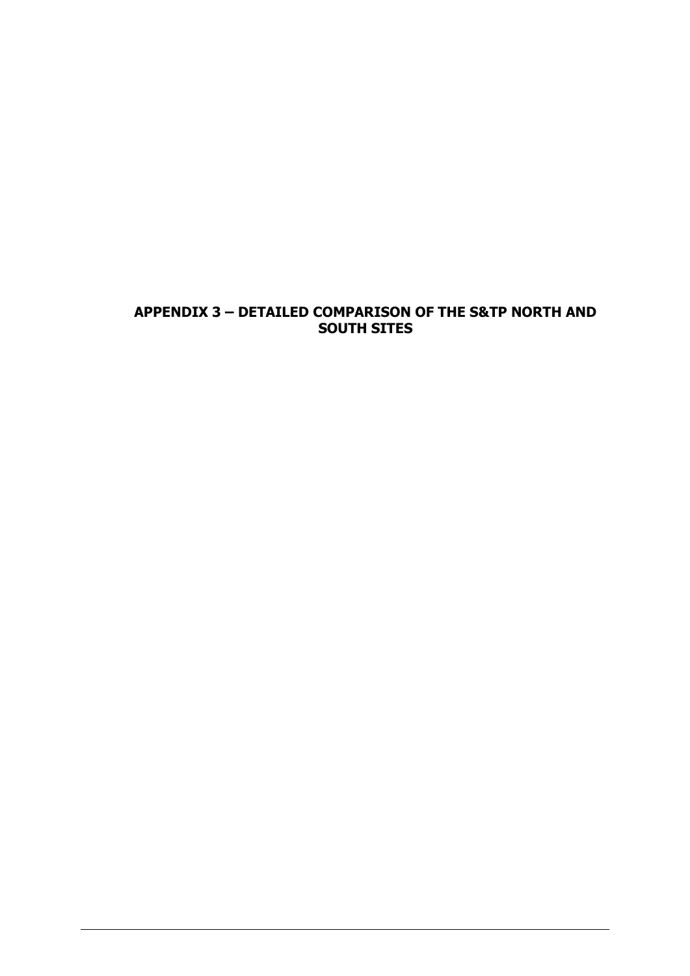# **APPENDIX 3 – DETAILED COMPARISON OF THE S&TP NORTH AND SOUTH SITES**